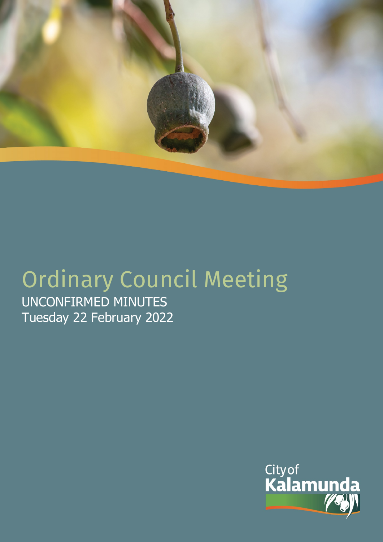

# Ordinary Council Meeting UNCONFIRMED MINUTES

Tuesday 22 February 2022

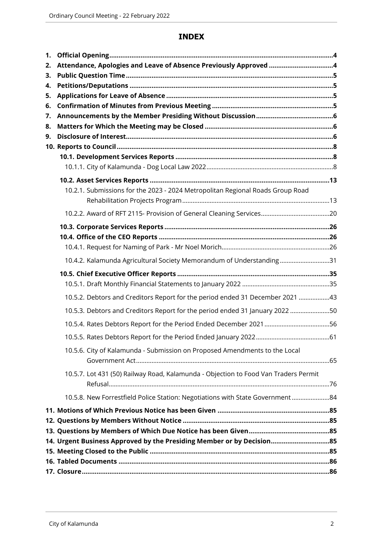# **INDEX**

| 1.       |                                                                                     |  |
|----------|-------------------------------------------------------------------------------------|--|
| 2.       | Attendance, Apologies and Leave of Absence Previously Approved 4                    |  |
| 3.       |                                                                                     |  |
| 4.       |                                                                                     |  |
| 5.       |                                                                                     |  |
| 6.       |                                                                                     |  |
| 7.       |                                                                                     |  |
| 8.<br>9. |                                                                                     |  |
|          |                                                                                     |  |
|          |                                                                                     |  |
|          |                                                                                     |  |
|          |                                                                                     |  |
|          | 10.2.1. Submissions for the 2023 - 2024 Metropolitan Regional Roads Group Road      |  |
|          |                                                                                     |  |
|          |                                                                                     |  |
|          |                                                                                     |  |
|          |                                                                                     |  |
|          |                                                                                     |  |
|          |                                                                                     |  |
|          | 10.4.2. Kalamunda Agricultural Society Memorandum of Understanding31                |  |
|          |                                                                                     |  |
|          |                                                                                     |  |
|          | 10.5.2. Debtors and Creditors Report for the period ended 31 December 2021 43       |  |
|          | 10.5.3. Debtors and Creditors Report for the period ended 31 January 2022 50        |  |
|          |                                                                                     |  |
|          |                                                                                     |  |
|          | 10.5.6. City of Kalamunda - Submission on Proposed Amendments to the Local          |  |
|          |                                                                                     |  |
|          | 10.5.7. Lot 431 (50) Railway Road, Kalamunda - Objection to Food Van Traders Permit |  |
|          | 10.5.8. New Forrestfield Police Station: Negotiations with State Government84       |  |
|          |                                                                                     |  |
|          |                                                                                     |  |
|          |                                                                                     |  |
|          | 14. Urgent Business Approved by the Presiding Member or by Decision85               |  |
|          |                                                                                     |  |
|          |                                                                                     |  |
|          |                                                                                     |  |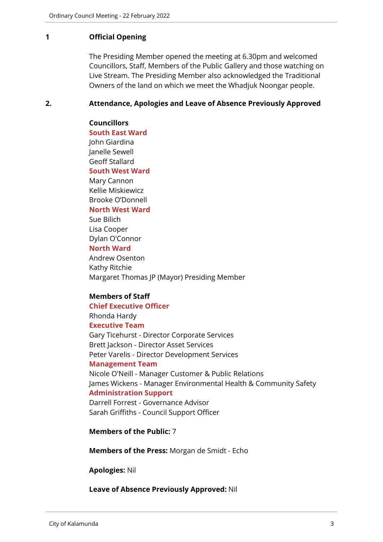#### <span id="page-2-0"></span>**1 Official Opening**

The Presiding Member opened the meeting at 6.30pm and welcomed Councillors, Staff, Members of the Public Gallery and those watching on Live Stream. The Presiding Member also acknowledged the Traditional Owners of the land on which we meet the Whadjuk Noongar people.

#### <span id="page-2-1"></span>**2. Attendance, Apologies and Leave of Absence Previously Approved**

#### **Councillors**

**South East Ward**  John Giardina Janelle Sewell Geoff Stallard **South West Ward** Mary Cannon Kellie Miskiewicz Brooke O'Donnell

#### **North West Ward**

Sue Bilich Lisa Cooper Dylan O'Connor

#### **North Ward**

Andrew Osenton Kathy Ritchie Margaret Thomas JP (Mayor) Presiding Member

#### **Members of Staff**

# **Chief Executive Officer**

Rhonda Hardy **Executive Team**

Gary Ticehurst - Director Corporate Services Brett Jackson - Director Asset Services Peter Varelis - Director Development Services **Management Team** Nicole O'Neill - Manager Customer & Public Relations

James Wickens - Manager Environmental Health & Community Safety **Administration Support** Darrell Forrest - Governance Advisor

Sarah Griffiths - Council Support Officer

**Members of the Public:** 7

**Members of the Press:** Morgan de Smidt - Echo

#### **Apologies:** Nil

**Leave of Absence Previously Approved:** Nil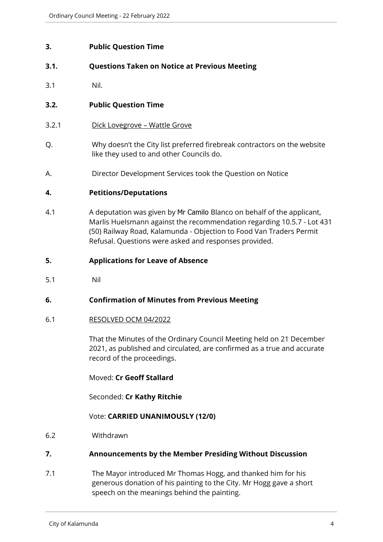# <span id="page-3-0"></span>**3. Public Question Time**

# **3.1. Questions Taken on Notice at Previous Meeting**

3.1 Nil.

# **3.2. Public Question Time**

- 3.2.1 Dick Lovegrove Wattle Grove
- Q. Why doesn't the City list preferred firebreak contractors on the website like they used to and other Councils do.
- A. Director Development Services took the Question on Notice

#### <span id="page-3-1"></span>**4. Petitions/Deputations**

4.1 A deputation was given by Mr Camilo Blanco on behalf of the applicant, Marlis Huelsmann against the recommendation regarding 10.5.7 - Lot 431 (50) Railway Road, Kalamunda - Objection to Food Van Traders Permit Refusal. Questions were asked and responses provided.

#### <span id="page-3-2"></span>**5. Applications for Leave of Absence**

5.1 Nil

#### <span id="page-3-3"></span>**6. Confirmation of Minutes from Previous Meeting**

#### 6.1 RESOLVED OCM 04/2022

That the Minutes of the Ordinary Council Meeting held on 21 December 2021, as published and circulated, are confirmed as a true and accurate record of the proceedings.

Moved: **Cr Geoff Stallard**

Seconded: **Cr Kathy Ritchie**

#### Vote: **CARRIED UNANIMOUSLY (12/0)**

6.2 Withdrawn

#### <span id="page-3-4"></span>**7. Announcements by the Member Presiding Without Discussion**

7.1 The Mayor introduced Mr Thomas Hogg, and thanked him for his generous donation of his painting to the City. Mr Hogg gave a short speech on the meanings behind the painting.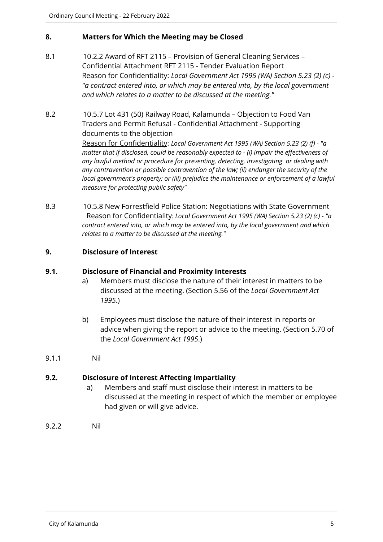# <span id="page-4-0"></span>**8. Matters for Which the Meeting may be Closed**

- 8.1 10.2.2 Award of RFT 2115 Provision of General Cleaning Services Confidential Attachment RFT 2115 - Tender Evaluation Report Reason for Confidentiality: *Local Government Act 1995 (WA) Section 5.23 (2) (c) - "a contract entered into, or which may be entered into, by the local government and which relates to a matter to be discussed at the meeting."*
- 8.2 10.5.7 Lot 431 (50) Railway Road, Kalamunda Objection to Food Van Traders and Permit Refusal - Confidential Attachment - Supporting documents to the objection Reason for Confidentiality: *Local Government Act 1995 (WA) Section 5.23 (2) (f) - "a matter that if disclosed, could be reasonably expected to - (i) impair the effectiveness of any lawful method or procedure for preventing, detecting, investigating or dealing with any contravention or possible contravention of the law; (ii) endanger the security of the local government's property; or (iii) prejudice the maintenance or enforcement of a lawful measure for protecting public safety"*
- 8.3 10.5.8 New Forrestfield Police Station: Negotiations with State Government Reason for Confidentiality*: Local Government Act 1995 (WA) Section 5.23 (2) (c) - "a contract entered into, or which may be entered into, by the local government and which relates to a matter to be discussed at the meeting."*

# <span id="page-4-1"></span>**9. Disclosure of Interest**

#### **9.1. Disclosure of Financial and Proximity Interests**

- a) Members must disclose the nature of their interest in matters to be discussed at the meeting. (Section 5.56 of the *Local Government Act 1995*.)
- b) Employees must disclose the nature of their interest in reports or advice when giving the report or advice to the meeting. (Section 5.70 of the *Local Government Act 1995*.)
- 9.1.1 Nil

#### **9.2. Disclosure of Interest Affecting Impartiality**

- a) Members and staff must disclose their interest in matters to be discussed at the meeting in respect of which the member or employee had given or will give advice.
- 9.2.2 Nil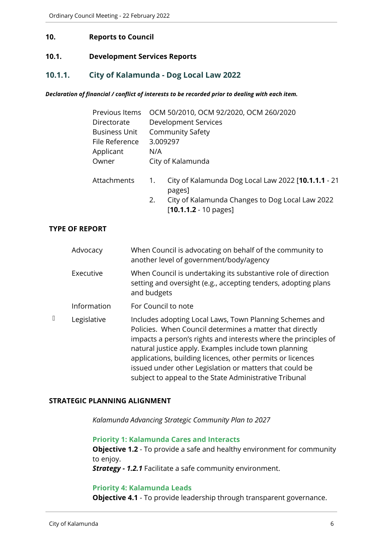#### <span id="page-5-0"></span>**10. Reports to Council**

#### <span id="page-5-1"></span>**10.1. Development Services Reports**

# <span id="page-5-2"></span>**10.1.1. City of Kalamunda - Dog Local Law 2022**

#### *Declaration of financial / conflict of interests to be recorded prior to dealing with each item.*

| Previous Items                      | OCM 50/2010, OCM 92/2020, OCM 260/2020 |                                                                                    |  |  |  |
|-------------------------------------|----------------------------------------|------------------------------------------------------------------------------------|--|--|--|
| Development Services<br>Directorate |                                        |                                                                                    |  |  |  |
| <b>Business Unit</b>                |                                        | <b>Community Safety</b>                                                            |  |  |  |
| 3.009297<br>File Reference          |                                        |                                                                                    |  |  |  |
| Applicant                           | N/A                                    |                                                                                    |  |  |  |
| Owner                               | City of Kalamunda                      |                                                                                    |  |  |  |
| Attachments                         | 1.                                     | City of Kalamunda Dog Local Law 2022 [10.1.1.1 - 21<br>pages]                      |  |  |  |
|                                     | 2.                                     | City of Kalamunda Changes to Dog Local Law 2022<br>$[10.1.1.2 - 10 \text{ pages}]$ |  |  |  |

# **TYPE OF REPORT**

| Advocacy    | When Council is advocating on behalf of the community to<br>another level of government/body/agency                                                                                                                                                                                                                                                                                                                                |
|-------------|------------------------------------------------------------------------------------------------------------------------------------------------------------------------------------------------------------------------------------------------------------------------------------------------------------------------------------------------------------------------------------------------------------------------------------|
| Executive   | When Council is undertaking its substantive role of direction<br>setting and oversight (e.g., accepting tenders, adopting plans<br>and budgets                                                                                                                                                                                                                                                                                     |
| Information | For Council to note                                                                                                                                                                                                                                                                                                                                                                                                                |
| Legislative | Includes adopting Local Laws, Town Planning Schemes and<br>Policies. When Council determines a matter that directly<br>impacts a person's rights and interests where the principles of<br>natural justice apply. Examples include town planning<br>applications, building licences, other permits or licences<br>issued under other Legislation or matters that could be<br>subject to appeal to the State Administrative Tribunal |

#### **STRATEGIC PLANNING ALIGNMENT**

*Kalamunda Advancing Strategic Community Plan to 2027*

**Priority 1: Kalamunda Cares and Interacts Objective 1.2** - To provide a safe and healthy environment for community to enjoy.

*Strategy - 1.2.1* Facilitate a safe community environment.

#### **Priority 4: Kalamunda Leads**

**Objective 4.1** - To provide leadership through transparent governance.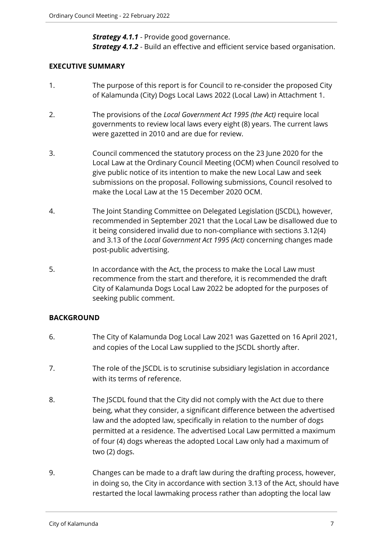**Strategy 4.1.1** - Provide good governance. *Strategy 4.1.2* - Build an effective and efficient service based organisation.

# **EXECUTIVE SUMMARY**

- 1. The purpose of this report is for Council to re-consider the proposed City of Kalamunda (City) Dogs Local Laws 2022 (Local Law) in Attachment 1.
- 2. The provisions of the *Local Government Act 1995 (the Act)* require local governments to review local laws every eight (8) years. The current laws were gazetted in 2010 and are due for review.
- 3. Council commenced the statutory process on the 23 June 2020 for the Local Law at the Ordinary Council Meeting (OCM) when Council resolved to give public notice of its intention to make the new Local Law and seek submissions on the proposal. Following submissions, Council resolved to make the Local Law at the 15 December 2020 OCM.
- 4. The Joint Standing Committee on Delegated Legislation (JSCDL), however, recommended in September 2021 that the Local Law be disallowed due to it being considered invalid due to non-compliance with sections 3.12(4) and 3.13 of the *Local Government Act 1995 (Act)* concerning changes made post-public advertising.
- 5. In accordance with the Act, the process to make the Local Law must recommence from the start and therefore, it is recommended the draft City of Kalamunda Dogs Local Law 2022 be adopted for the purposes of seeking public comment.

# **BACKGROUND**

- 6. The City of Kalamunda Dog Local Law 2021 was Gazetted on 16 April 2021, and copies of the Local Law supplied to the JSCDL shortly after.
- 7. The role of the JSCDL is to scrutinise subsidiary legislation in accordance with its terms of reference.
- 8. The JSCDL found that the City did not comply with the Act due to there being, what they consider, a significant difference between the advertised law and the adopted law, specifically in relation to the number of dogs permitted at a residence. The advertised Local Law permitted a maximum of four (4) dogs whereas the adopted Local Law only had a maximum of two (2) dogs.
- 9. Changes can be made to a draft law during the drafting process, however, in doing so, the City in accordance with section 3.13 of the Act, should have restarted the local lawmaking process rather than adopting the local law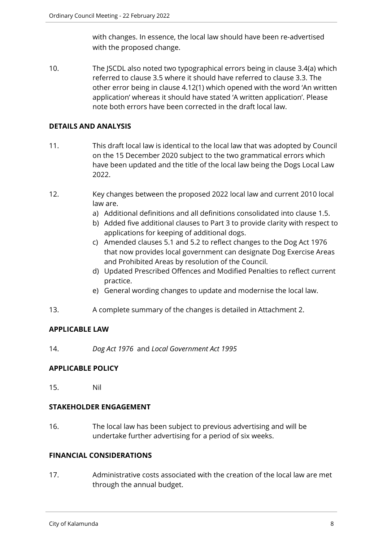with changes. In essence, the local law should have been re-advertised with the proposed change.

10. The JSCDL also noted two typographical errors being in clause 3.4(a) which referred to clause 3.5 where it should have referred to clause 3.3. The other error being in clause 4.12(1) which opened with the word 'An written application' whereas it should have stated 'A written application'. Please note both errors have been corrected in the draft local law.

# **DETAILS AND ANALYSIS**

- 11. This draft local law is identical to the local law that was adopted by Council on the 15 December 2020 subject to the two grammatical errors which have been updated and the title of the local law being the Dogs Local Law 2022.
- 12. Key changes between the proposed 2022 local law and current 2010 local law are.
	- a) Additional definitions and all definitions consolidated into clause 1.5.
	- b) Added five additional clauses to Part 3 to provide clarity with respect to applications for keeping of additional dogs.
	- c) Amended clauses 5.1 and 5.2 to reflect changes to the Dog Act 1976 that now provides local government can designate Dog Exercise Areas and Prohibited Areas by resolution of the Council.
	- d) Updated Prescribed Offences and Modified Penalties to reflect current practice.
	- e) General wording changes to update and modernise the local law.
- 13. A complete summary of the changes is detailed in Attachment 2.

# **APPLICABLE LAW**

14. *Dog Act 1976* and *Local Government Act 1995* 

# **APPLICABLE POLICY**

15. Nil

# **STAKEHOLDER ENGAGEMENT**

16. The local law has been subject to previous advertising and will be undertake further advertising for a period of six weeks.

# **FINANCIAL CONSIDERATIONS**

17. Administrative costs associated with the creation of the local law are met through the annual budget.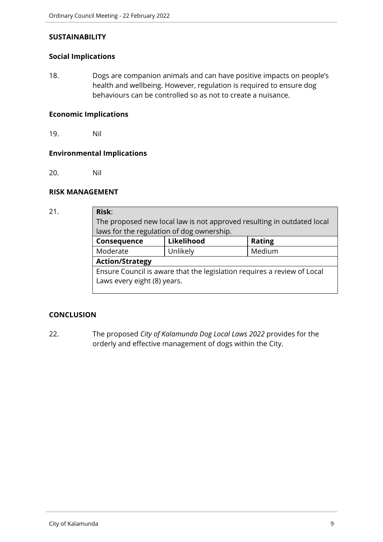### **SUSTAINABILITY**

#### **Social Implications**

18. Dogs are companion animals and can have positive impacts on people's health and wellbeing. However, regulation is required to ensure dog behaviours can be controlled so as not to create a nuisance.

#### **Economic Implications**

19. Nil

#### **Environmental Implications**

20. Nil

#### **RISK MANAGEMENT**

# 21. **Risk**: The proposed new local law is not approved resulting in outdated local laws for the regulation of dog ownership. **Consequence Likelihood Rating** Moderate | Unlikely | Medium **Action/Strategy** Ensure Council is aware that the legislation requires a review of Local Laws every eight (8) years.

# **CONCLUSION**

22. The proposed *City of Kalamunda Dog Local Laws 2022* provides for the orderly and effective management of dogs within the City.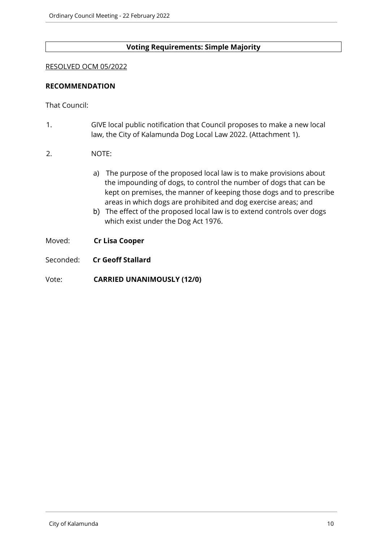# **Voting Requirements: Simple Majority**

#### RESOLVED OCM 05/2022

#### **RECOMMENDATION**

That Council:

- 1. GIVE local public notification that Council proposes to make a new local law, the City of Kalamunda Dog Local Law 2022. (Attachment 1).
- 2. NOTE:
	- a) The purpose of the proposed local law is to make provisions about the impounding of dogs, to control the number of dogs that can be kept on premises, the manner of keeping those dogs and to prescribe areas in which dogs are prohibited and dog exercise areas; and
	- b) The effect of the proposed local law is to extend controls over dogs which exist under the Dog Act 1976.
- Moved: **Cr Lisa Cooper**
- Seconded: **Cr Geoff Stallard**
- Vote: **CARRIED UNANIMOUSLY (12/0)**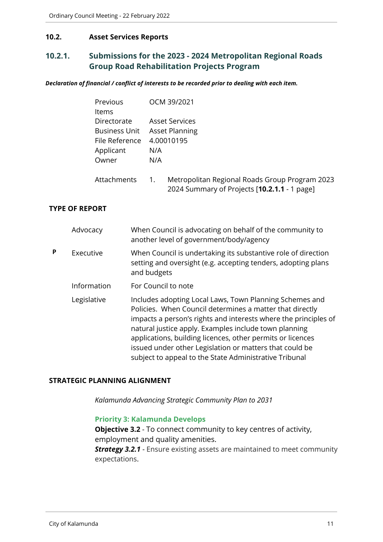### <span id="page-10-0"></span>**10.2. Asset Services Reports**

# <span id="page-10-1"></span>**10.2.1. Submissions for the 2023 - 2024 Metropolitan Regional Roads Group Road Rehabilitation Projects Program**

*Declaration of financial / conflict of interests to be recorded prior to dealing with each item.*

|   |                       | Previous<br>Items                                                           |             | OCM 39/2021                                                                                                                                                                                                                                                                                                                                                                                                                        |
|---|-----------------------|-----------------------------------------------------------------------------|-------------|------------------------------------------------------------------------------------------------------------------------------------------------------------------------------------------------------------------------------------------------------------------------------------------------------------------------------------------------------------------------------------------------------------------------------------|
|   |                       | Directorate<br><b>Business Unit</b><br>File Reference<br>Applicant<br>Owner | N/A<br>N/A  | <b>Asset Services</b><br><b>Asset Planning</b><br>4.00010195                                                                                                                                                                                                                                                                                                                                                                       |
|   |                       | Attachments                                                                 | 1.          | Metropolitan Regional Roads Group Program 2023<br>2024 Summary of Projects [10.2.1.1 - 1 page]                                                                                                                                                                                                                                                                                                                                     |
|   | <b>TYPE OF REPORT</b> |                                                                             |             |                                                                                                                                                                                                                                                                                                                                                                                                                                    |
|   | Advocacy              |                                                                             |             | When Council is advocating on behalf of the community to<br>another level of government/body/agency                                                                                                                                                                                                                                                                                                                                |
| P | Executive             |                                                                             | and budgets | When Council is undertaking its substantive role of direction<br>setting and oversight (e.g. accepting tenders, adopting plans                                                                                                                                                                                                                                                                                                     |
|   |                       | Information                                                                 |             | For Council to note                                                                                                                                                                                                                                                                                                                                                                                                                |
|   | Legislative           |                                                                             |             | Includes adopting Local Laws, Town Planning Schemes and<br>Policies. When Council determines a matter that directly<br>impacts a person's rights and interests where the principles of<br>natural justice apply. Examples include town planning<br>applications, building licences, other permits or licences<br>issued under other Legislation or matters that could be<br>subject to appeal to the State Administrative Tribunal |

#### **STRATEGIC PLANNING ALIGNMENT**

*Kalamunda Advancing Strategic Community Plan to 2031*

# **Priority 3: Kalamunda Develops**

**Objective 3.2** - To connect community to key centres of activity, employment and quality amenities.

*Strategy 3.2.1* - Ensure existing assets are maintained to meet community expectations.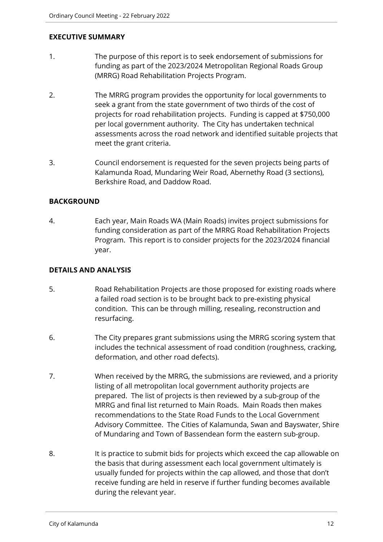# **EXECUTIVE SUMMARY**

- 1. The purpose of this report is to seek endorsement of submissions for funding as part of the 2023/2024 Metropolitan Regional Roads Group (MRRG) Road Rehabilitation Projects Program.
- 2. The MRRG program provides the opportunity for local governments to seek a grant from the state government of two thirds of the cost of projects for road rehabilitation projects. Funding is capped at \$750,000 per local government authority. The City has undertaken technical assessments across the road network and identified suitable projects that meet the grant criteria.
- 3. Council endorsement is requested for the seven projects being parts of Kalamunda Road, Mundaring Weir Road, Abernethy Road (3 sections), Berkshire Road, and Daddow Road.

# **BACKGROUND**

4. Each year, Main Roads WA (Main Roads) invites project submissions for funding consideration as part of the MRRG Road Rehabilitation Projects Program. This report is to consider projects for the 2023/2024 financial year.

# **DETAILS AND ANALYSIS**

- 5. Road Rehabilitation Projects are those proposed for existing roads where a failed road section is to be brought back to pre-existing physical condition. This can be through milling, resealing, reconstruction and resurfacing.
- 6. The City prepares grant submissions using the MRRG scoring system that includes the technical assessment of road condition (roughness, cracking, deformation, and other road defects).
- 7. When received by the MRRG, the submissions are reviewed, and a priority listing of all metropolitan local government authority projects are prepared. The list of projects is then reviewed by a sub-group of the MRRG and final list returned to Main Roads. Main Roads then makes recommendations to the State Road Funds to the Local Government Advisory Committee. The Cities of Kalamunda, Swan and Bayswater, Shire of Mundaring and Town of Bassendean form the eastern sub-group.
- 8. It is practice to submit bids for projects which exceed the cap allowable on the basis that during assessment each local government ultimately is usually funded for projects within the cap allowed, and those that don't receive funding are held in reserve if further funding becomes available during the relevant year.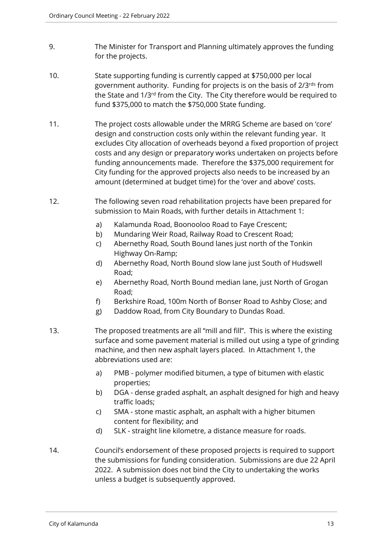- 9. The Minister for Transport and Planning ultimately approves the funding for the projects.
- 10. State supporting funding is currently capped at \$750,000 per local government authority. Funding for projects is on the basis of 2/3rds from the State and 1/3rd from the City. The City therefore would be required to fund \$375,000 to match the \$750,000 State funding.
- 11. The project costs allowable under the MRRG Scheme are based on 'core' design and construction costs only within the relevant funding year. It excludes City allocation of overheads beyond a fixed proportion of project costs and any design or preparatory works undertaken on projects before funding announcements made. Therefore the \$375,000 requirement for City funding for the approved projects also needs to be increased by an amount (determined at budget time) for the 'over and above' costs.
- 12. The following seven road rehabilitation projects have been prepared for submission to Main Roads, with further details in Attachment 1:
	- a) Kalamunda Road, Boonooloo Road to Faye Crescent;
	- b) Mundaring Weir Road, Railway Road to Crescent Road;
	- c) Abernethy Road, South Bound lanes just north of the Tonkin Highway On-Ramp;
	- d) Abernethy Road, North Bound slow lane just South of Hudswell Road;
	- e) Abernethy Road, North Bound median lane, just North of Grogan Road;
	- f) Berkshire Road, 100m North of Bonser Road to Ashby Close; and
	- g) Daddow Road, from City Boundary to Dundas Road.
- 13. The proposed treatments are all "mill and fill". This is where the existing surface and some pavement material is milled out using a type of grinding machine, and then new asphalt layers placed. In Attachment 1, the abbreviations used are:
	- a) PMB polymer modified bitumen, a type of bitumen with elastic properties;
	- b) DGA dense graded asphalt, an asphalt designed for high and heavy traffic loads;
	- c) SMA stone mastic asphalt, an asphalt with a higher bitumen content for flexibility; and
	- d) SLK straight line kilometre, a distance measure for roads.
- 14. Council's endorsement of these proposed projects is required to support the submissions for funding consideration. Submissions are due 22 April 2022. A submission does not bind the City to undertaking the works unless a budget is subsequently approved.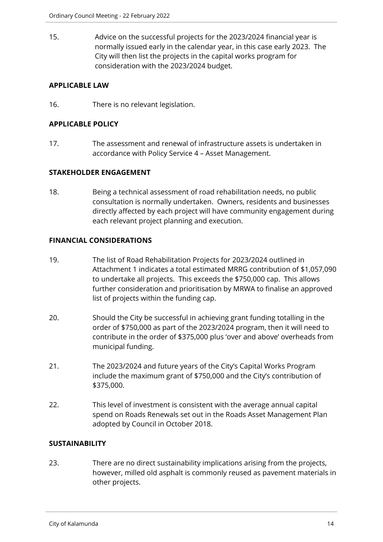15. Advice on the successful projects for the 2023/2024 financial year is normally issued early in the calendar year, in this case early 2023. The City will then list the projects in the capital works program for consideration with the 2023/2024 budget.

# **APPLICABLE LAW**

16. There is no relevant legislation.

# **APPLICABLE POLICY**

17. The assessment and renewal of infrastructure assets is undertaken in accordance with Policy Service 4 – Asset Management.

#### **STAKEHOLDER ENGAGEMENT**

18. Being a technical assessment of road rehabilitation needs, no public consultation is normally undertaken. Owners, residents and businesses directly affected by each project will have community engagement during each relevant project planning and execution.

#### **FINANCIAL CONSIDERATIONS**

- 19. The list of Road Rehabilitation Projects for 2023/2024 outlined in Attachment 1 indicates a total estimated MRRG contribution of \$1,057,090 to undertake all projects. This exceeds the \$750,000 cap. This allows further consideration and prioritisation by MRWA to finalise an approved list of projects within the funding cap.
- 20. Should the City be successful in achieving grant funding totalling in the order of \$750,000 as part of the 2023/2024 program, then it will need to contribute in the order of \$375,000 plus 'over and above' overheads from municipal funding.
- 21. The 2023/2024 and future years of the City's Capital Works Program include the maximum grant of \$750,000 and the City's contribution of \$375,000.
- 22. This level of investment is consistent with the average annual capital spend on Roads Renewals set out in the Roads Asset Management Plan adopted by Council in October 2018.

# **SUSTAINABILITY**

23. There are no direct sustainability implications arising from the projects, however, milled old asphalt is commonly reused as pavement materials in other projects.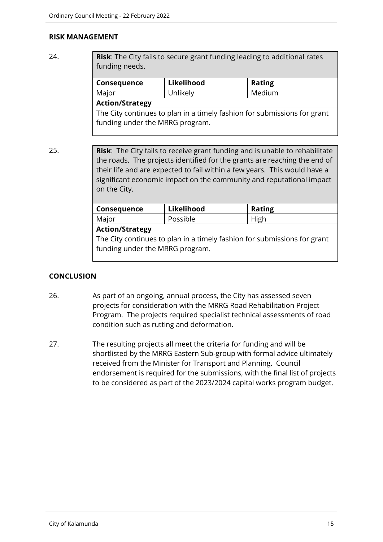#### **RISK MANAGEMENT**

24. **Risk**: The City fails to secure grant funding leading to additional rates funding needs.

| <b>Consequence</b> | Likelihood | <b>Rating</b> |
|--------------------|------------|---------------|
| Major              | Unlikely   | Medium        |
| $A = 1.2$          |            |               |

#### **Action/Strategy**

The City continues to plan in a timely fashion for submissions for grant funding under the MRRG program.

25. **Risk**: The City fails to receive grant funding and is unable to rehabilitate the roads. The projects identified for the grants are reaching the end of their life and are expected to fail within a few years. This would have a significant economic impact on the community and reputational impact on the City.

| Consequence                                                                                                 | Likelihood | <b>Rating</b> |  |
|-------------------------------------------------------------------------------------------------------------|------------|---------------|--|
| Major                                                                                                       | Possible   | High          |  |
| <b>Action/Strategy</b>                                                                                      |            |               |  |
| The City continues to plan in a timely fashion for submissions for grant<br>funding under the MRRG program. |            |               |  |
|                                                                                                             |            |               |  |

# **CONCLUSION**

- 26. As part of an ongoing, annual process, the City has assessed seven projects for consideration with the MRRG Road Rehabilitation Project Program. The projects required specialist technical assessments of road condition such as rutting and deformation.
- 27. The resulting projects all meet the criteria for funding and will be shortlisted by the MRRG Eastern Sub-group with formal advice ultimately received from the Minister for Transport and Planning. Council endorsement is required for the submissions, with the final list of projects to be considered as part of the 2023/2024 capital works program budget.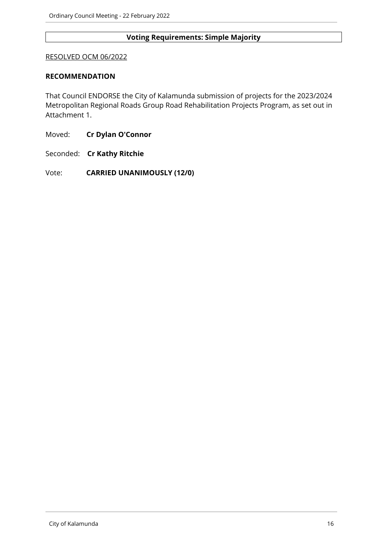# **Voting Requirements: Simple Majority**

#### RESOLVED OCM 06/2022

#### **RECOMMENDATION**

That Council ENDORSE the City of Kalamunda submission of projects for the 2023/2024 Metropolitan Regional Roads Group Road Rehabilitation Projects Program, as set out in Attachment 1.

Moved: **Cr Dylan O'Connor**

Seconded: **Cr Kathy Ritchie**

Vote: **CARRIED UNANIMOUSLY (12/0)**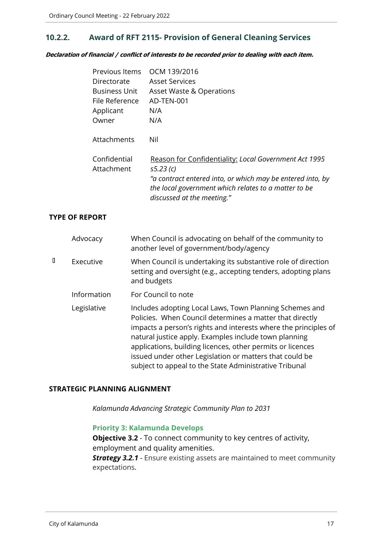# <span id="page-16-0"></span>**10.2.2. Award of RFT 2115- Provision of General Cleaning Services**

*Declaration of financial / conflict of interests to be recorded prior to dealing with each item.*

| Previous Items       | OCM 139/2016                                                                                                                                     |
|----------------------|--------------------------------------------------------------------------------------------------------------------------------------------------|
| Directorate          | Asset Services                                                                                                                                   |
| <b>Business Unit</b> | <b>Asset Waste &amp; Operations</b>                                                                                                              |
| File Reference       | AD-TEN-001                                                                                                                                       |
| Applicant            | N/A                                                                                                                                              |
| Owner                | N/A                                                                                                                                              |
| Attachments          | Nil                                                                                                                                              |
| Confidential         | Reason for Confidentiality: Local Government Act 1995                                                                                            |
| Attachment           | s5.23(c)                                                                                                                                         |
|                      | "a contract entered into, or which may be entered into, by<br>the local government which relates to a matter to be<br>discussed at the meeting." |

#### **TYPE OF REPORT**

|   | Advocacy    | When Council is advocating on behalf of the community to<br>another level of government/body/agency                                                                                                                                                                                                                                                                                                                                |
|---|-------------|------------------------------------------------------------------------------------------------------------------------------------------------------------------------------------------------------------------------------------------------------------------------------------------------------------------------------------------------------------------------------------------------------------------------------------|
| О | Executive   | When Council is undertaking its substantive role of direction<br>setting and oversight (e.g., accepting tenders, adopting plans<br>and budgets                                                                                                                                                                                                                                                                                     |
|   | Information | For Council to note                                                                                                                                                                                                                                                                                                                                                                                                                |
|   | Legislative | Includes adopting Local Laws, Town Planning Schemes and<br>Policies. When Council determines a matter that directly<br>impacts a person's rights and interests where the principles of<br>natural justice apply. Examples include town planning<br>applications, building licences, other permits or licences<br>issued under other Legislation or matters that could be<br>subject to appeal to the State Administrative Tribunal |

#### **STRATEGIC PLANNING ALIGNMENT**

*Kalamunda Advancing Strategic Community Plan to 2031*

#### **Priority 3: Kalamunda Develops**

**Objective 3.2** - To connect community to key centres of activity, employment and quality amenities.

**Strategy 3.2.1** - Ensure existing assets are maintained to meet community expectations.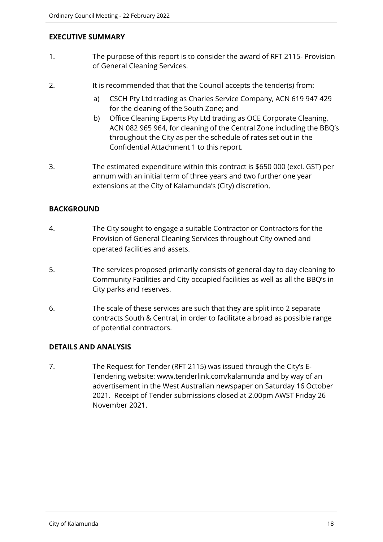# **EXECUTIVE SUMMARY**

- 1. The purpose of this report is to consider the award of RFT 2115- Provision of General Cleaning Services.
- 2. It is recommended that that the Council accepts the tender(s) from:
	- a) CSCH Pty Ltd trading as Charles Service Company, ACN 619 947 429 for the cleaning of the South Zone; and
	- b) Office Cleaning Experts Pty Ltd trading as OCE Corporate Cleaning, ACN 082 965 964, for cleaning of the Central Zone including the BBQ's throughout the City as per the schedule of rates set out in the Confidential Attachment 1 to this report.
- 3. The estimated expenditure within this contract is \$650 000 (excl. GST) per annum with an initial term of three years and two further one year extensions at the City of Kalamunda's (City) discretion.

# **BACKGROUND**

- 4. The City sought to engage a suitable Contractor or Contractors for the Provision of General Cleaning Services throughout City owned and operated facilities and assets.
- 5. The services proposed primarily consists of general day to day cleaning to Community Facilities and City occupied facilities as well as all the BBQ's in City parks and reserves.
- 6. The scale of these services are such that they are split into 2 separate contracts South & Central, in order to facilitate a broad as possible range of potential contractors.

# **DETAILS AND ANALYSIS**

7. The Request for Tender (RFT 2115) was issued through the City's E-Tendering website: www.tenderlink.com/kalamunda and by way of an advertisement in the West Australian newspaper on Saturday 16 October 2021. Receipt of Tender submissions closed at 2.00pm AWST Friday 26 November 2021.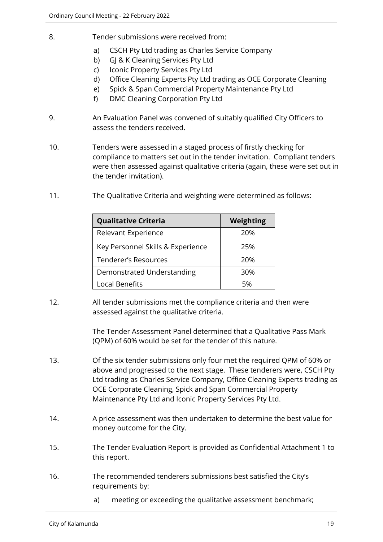- 8. Tender submissions were received from:
	- a) CSCH Pty Ltd trading as Charles Service Company
	- b) GJ & K Cleaning Services Pty Ltd
	- c) Iconic Property Services Pty Ltd
	- d) Office Cleaning Experts Pty Ltd trading as OCE Corporate Cleaning
	- e) Spick & Span Commercial Property Maintenance Pty Ltd
	- f) DMC Cleaning Corporation Pty Ltd
- 9. An Evaluation Panel was convened of suitably qualified City Officers to assess the tenders received.
- 10. Tenders were assessed in a staged process of firstly checking for compliance to matters set out in the tender invitation. Compliant tenders were then assessed against qualitative criteria (again, these were set out in the tender invitation).
- 11. The Qualitative Criteria and weighting were determined as follows:

| <b>Qualitative Criteria</b>       | Weighting |
|-----------------------------------|-----------|
| Relevant Experience               | 20%       |
| Key Personnel Skills & Experience | 25%       |
| Tenderer's Resources              | 20%       |
| Demonstrated Understanding        | 30%       |
| <b>Local Benefits</b>             | 5%        |

12. All tender submissions met the compliance criteria and then were assessed against the qualitative criteria.

> The Tender Assessment Panel determined that a Qualitative Pass Mark (QPM) of 60% would be set for the tender of this nature.

- 13. Of the six tender submissions only four met the required QPM of 60% or above and progressed to the next stage. These tenderers were, CSCH Pty Ltd trading as Charles Service Company, Office Cleaning Experts trading as OCE Corporate Cleaning, Spick and Span Commercial Property Maintenance Pty Ltd and Iconic Property Services Pty Ltd.
- 14. A price assessment was then undertaken to determine the best value for money outcome for the City.
- 15. The Tender Evaluation Report is provided as Confidential Attachment 1 to this report.
- 16. The recommended tenderers submissions best satisfied the City's requirements by:
	- a) meeting or exceeding the qualitative assessment benchmark;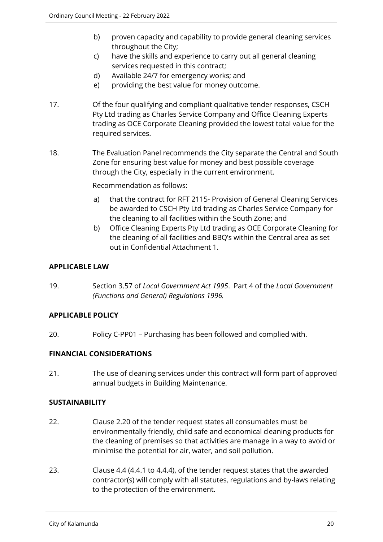- b) proven capacity and capability to provide general cleaning services throughout the City;
- c) have the skills and experience to carry out all general cleaning services requested in this contract;
- d) Available 24/7 for emergency works; and
- e) providing the best value for money outcome.
- 17. Of the four qualifying and compliant qualitative tender responses, CSCH Pty Ltd trading as Charles Service Company and Office Cleaning Experts trading as OCE Corporate Cleaning provided the lowest total value for the required services.
- 18. The Evaluation Panel recommends the City separate the Central and South Zone for ensuring best value for money and best possible coverage through the City, especially in the current environment.

Recommendation as follows:

- a) that the contract for RFT 2115- Provision of General Cleaning Services be awarded to CSCH Pty Ltd trading as Charles Service Company for the cleaning to all facilities within the South Zone; and
- b) Office Cleaning Experts Pty Ltd trading as OCE Corporate Cleaning for the cleaning of all facilities and BBQ's within the Central area as set out in Confidential Attachment 1.

# **APPLICABLE LAW**

19. Section 3.57 of *Local Government Act 1995*. Part 4 of the *Local Government (Functions and General) Regulations 1996.*

# **APPLICABLE POLICY**

20. Policy C-PP01 – Purchasing has been followed and complied with.

# **FINANCIAL CONSIDERATIONS**

21. The use of cleaning services under this contract will form part of approved annual budgets in Building Maintenance.

# **SUSTAINABILITY**

- 22. Clause 2.20 of the tender request states all consumables must be environmentally friendly, child safe and economical cleaning products for the cleaning of premises so that activities are manage in a way to avoid or minimise the potential for air, water, and soil pollution.
- 23. Clause 4.4 (4.4.1 to 4.4.4), of the tender request states that the awarded contractor(s) will comply with all statutes, regulations and by-laws relating to the protection of the environment.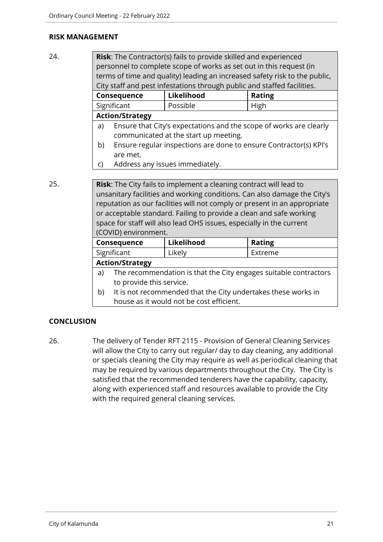#### **RISK MANAGEMENT**

24. **Risk**: The Contractor(s) fails to provide skilled and experienced personnel to complete scope of works as set out in this request (in terms of time and quality) leading an increased safety risk to the public, City staff and pest infestations through public and staffed facilities.

| <b>Consequence</b>     | Likelihood | <b>Rating</b> |
|------------------------|------------|---------------|
| Significant            | Possible   | . High        |
| <b>Action/Strategy</b> |            |               |

- a) Ensure that City's expectations and the scope of works are clearly communicated at the start up meeting.
- b) Ensure regular inspections are done to ensure Contractor(s) KPI's are met.
- c) Address any issues immediately.

25. **Risk**: The City fails to implement a cleaning contract will lead to unsanitary facilities and working conditions. Can also damage the City's reputation as our facilities will not comply or present in an appropriate or acceptable standard. Failing to provide a clean and safe working space for staff will also lead OHS issues, especially in the current (COVID) environment.

| <b>Consequence</b>     | Likelihood | <b>Rating</b> |
|------------------------|------------|---------------|
| Significant            | Likely     | Extreme       |
| <b>Action/Strategy</b> |            |               |

- a) The recommendation is that the City engages suitable contractors to provide this service.
- b) It is not recommended that the City undertakes these works in house as it would not be cost efficient.

# **CONCLUSION**

26. The delivery of Tender RFT 2115 - Provision of General Cleaning Services will allow the City to carry out regular/ day to day cleaning, any additional or specials cleaning the City may require as well as periodical cleaning that may be required by various departments throughout the City. The City is satisfied that the recommended tenderers have the capability, capacity, along with experienced staff and resources available to provide the City with the required general cleaning services.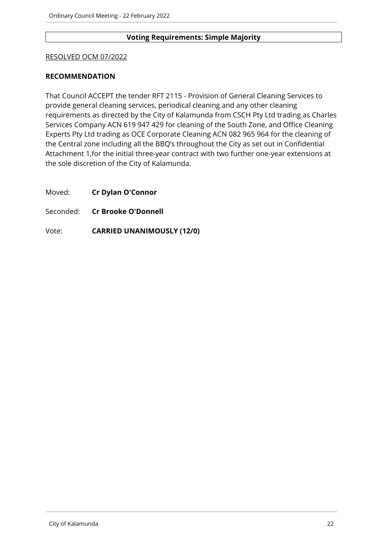### **Voting Requirements: Simple Majority**

#### RESOLVED OCM 07/2022

#### **RECOMMENDATION**

That Council ACCEPT the tender RFT 2115 - Provision of General Cleaning Services to provide general cleaning services, periodical cleaning and any other cleaning requirements as directed by the City of Kalamunda from CSCH Pty Ltd trading as Charles Services Company ACN 619 947 429 for cleaning of the South Zone, and Office Cleaning Experts Pty Ltd trading as OCE Corporate Cleaning ACN 082 965 964 for the cleaning of the Central zone including all the BBQ's throughout the City as set out in Confidential Attachment 1,for the initial three-year contract with two further one-year extensions at the sole discretion of the City of Kalamunda.

Moved: **Cr Dylan O'Connor**

Seconded: **Cr Brooke O'Donnell**

Vote: **CARRIED UNANIMOUSLY (12/0)**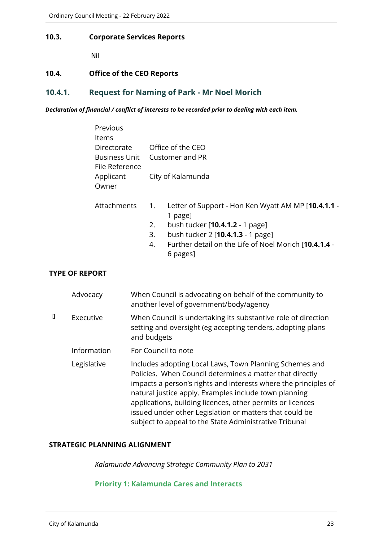#### <span id="page-22-0"></span>**10.3. Corporate Services Reports**

Nil

#### <span id="page-22-1"></span>**10.4. Office of the CEO Reports**

# <span id="page-22-2"></span>**10.4.1. Request for Naming of Park - Mr Noel Morich**

*Declaration of financial / conflict of interests to be recorded prior to dealing with each item.*

| Office of the CEO             |
|-------------------------------|
| Business Unit Customer and PR |
|                               |
| City of Kalamunda             |
|                               |
|                               |

- Attachments 1. Letter of Support Hon Ken Wyatt AM MP [**10.4.1.1** 1 page]
	- 2. bush tucker [**10.4.1.2** 1 page]
	- 3. bush tucker 2 [**10.4.1.3** 1 page]
	- 4. Further detail on the Life of Noel Morich [**10.4.1.4** 6 pages]

# **TYPE OF REPORT**

|   | Advocacy    | When Council is advocating on behalf of the community to<br>another level of government/body/agency                                                                                                                                                                                                                                                                                                                                |
|---|-------------|------------------------------------------------------------------------------------------------------------------------------------------------------------------------------------------------------------------------------------------------------------------------------------------------------------------------------------------------------------------------------------------------------------------------------------|
| D | Executive   | When Council is undertaking its substantive role of direction<br>setting and oversight (eg accepting tenders, adopting plans<br>and budgets                                                                                                                                                                                                                                                                                        |
|   | Information | For Council to note                                                                                                                                                                                                                                                                                                                                                                                                                |
|   | Legislative | Includes adopting Local Laws, Town Planning Schemes and<br>Policies. When Council determines a matter that directly<br>impacts a person's rights and interests where the principles of<br>natural justice apply. Examples include town planning<br>applications, building licences, other permits or licences<br>issued under other Legislation or matters that could be<br>subject to appeal to the State Administrative Tribunal |

#### **STRATEGIC PLANNING ALIGNMENT**

*Kalamunda Advancing Strategic Community Plan to 2031*

**Priority 1: Kalamunda Cares and Interacts**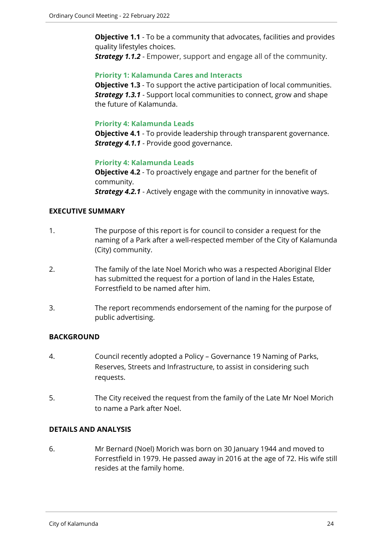**Objective 1.1** - To be a community that advocates, facilities and provides quality lifestyles choices.

*Strategy 1.1.2* - Empower, support and engage all of the community.

# **Priority 1: Kalamunda Cares and Interacts**

**Objective 1.3** - To support the active participation of local communities. *Strategy 1.3.1* - Support local communities to connect, grow and shape the future of Kalamunda.

# **Priority 4: Kalamunda Leads**

**Objective 4.1** - To provide leadership through transparent governance. **Strategy 4.1.1** - Provide good governance.

# **Priority 4: Kalamunda Leads**

**Objective 4.2** - To proactively engage and partner for the benefit of community. *Strategy 4.2.1* - Actively engage with the community in innovative ways.

#### **EXECUTIVE SUMMARY**

- 1. The purpose of this report is for council to consider a request for the naming of a Park after a well-respected member of the City of Kalamunda (City) community.
- 2. The family of the late Noel Morich who was a respected Aboriginal Elder has submitted the request for a portion of land in the Hales Estate, Forrestfield to be named after him.
- 3. The report recommends endorsement of the naming for the purpose of public advertising.

# **BACKGROUND**

- 4. Council recently adopted a Policy Governance 19 Naming of Parks, Reserves, Streets and Infrastructure, to assist in considering such requests.
- 5. The City received the request from the family of the Late Mr Noel Morich to name a Park after Noel.

#### **DETAILS AND ANALYSIS**

6. Mr Bernard (Noel) Morich was born on 30 January 1944 and moved to Forrestfield in 1979. He passed away in 2016 at the age of 72. His wife still resides at the family home.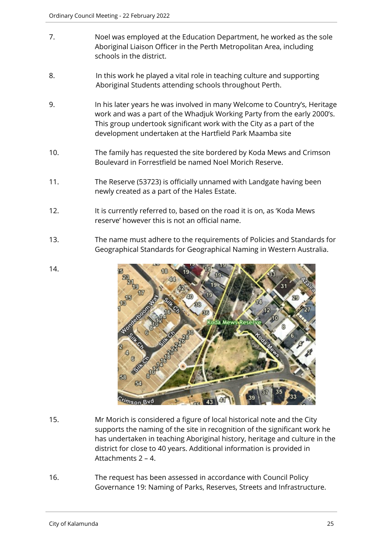- 7. Noel was employed at the Education Department, he worked as the sole Aboriginal Liaison Officer in the Perth Metropolitan Area, including schools in the district.
- 8. In this work he played a vital role in teaching culture and supporting Aboriginal Students attending schools throughout Perth.
- 9. In his later years he was involved in many Welcome to Country's, Heritage work and was a part of the Whadjuk Working Party from the early 2000's. This group undertook significant work with the City as a part of the development undertaken at the Hartfield Park Maamba site
- 10. The family has requested the site bordered by Koda Mews and Crimson Boulevard in Forrestfield be named Noel Morich Reserve.
- 11. The Reserve (53723) is officially unnamed with Landgate having been newly created as a part of the Hales Estate.
- 12. It is currently referred to, based on the road it is on, as 'Koda Mews reserve' however this is not an official name.
- 13. The name must adhere to the requirements of Policies and Standards for Geographical Standards for Geographical Naming in Western Australia.



- 15. Mr Morich is considered a figure of local historical note and the City supports the naming of the site in recognition of the significant work he has undertaken in teaching Aboriginal history, heritage and culture in the district for close to 40 years. Additional information is provided in Attachments 2 – 4.
- 16. The request has been assessed in accordance with Council Policy Governance 19: Naming of Parks, Reserves, Streets and Infrastructure.

14.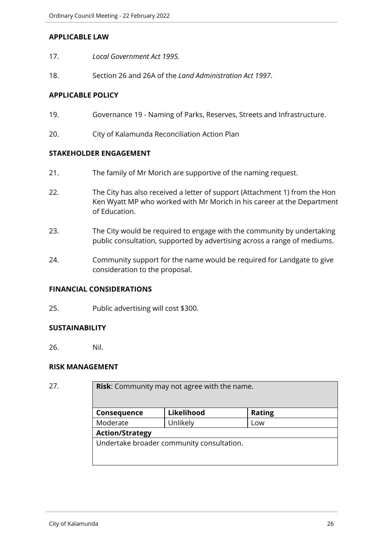#### **APPLICABLE LAW**

- 17. *Local Government Act 1995.*
- 18. Section 26 and 26A of the *Land Administration Act 1997*.

# **APPLICABLE POLICY**

- 19. Governance 19 Naming of Parks, Reserves, Streets and Infrastructure.
- 20. City of Kalamunda Reconciliation Action Plan

# **STAKEHOLDER ENGAGEMENT**

- 21. The family of Mr Morich are supportive of the naming request.
- 22. The City has also received a letter of support (Attachment 1) from the Hon Ken Wyatt MP who worked with Mr Morich in his career at the Department of Education.
- 23. The City would be required to engage with the community by undertaking public consultation, supported by advertising across a range of mediums.
- 24. Community support for the name would be required for Landgate to give consideration to the proposal.

#### **FINANCIAL CONSIDERATIONS**

25. Public advertising will cost \$300.

# **SUSTAINABILITY**

26. Nil.

#### **RISK MANAGEMENT**

**Risk:** Community may not agree with the name.

| Consequence                               | Likelihood | <b>Rating</b> |
|-------------------------------------------|------------|---------------|
| Moderate                                  | Unlikely   | LOW           |
| <b>Action/Strategy</b>                    |            |               |
| Undertake broader community consultation. |            |               |
|                                           |            |               |
|                                           |            |               |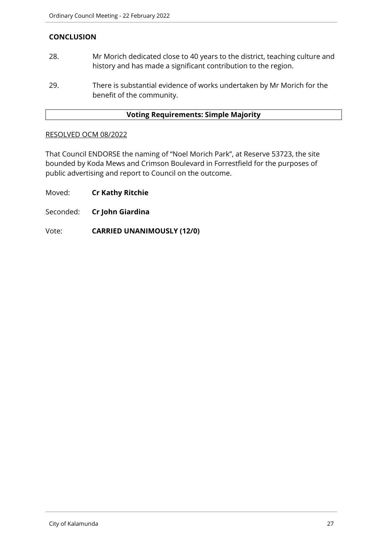# **CONCLUSION**

- 28. Mr Morich dedicated close to 40 years to the district, teaching culture and history and has made a significant contribution to the region.
- 29. There is substantial evidence of works undertaken by Mr Morich for the benefit of the community.

#### **Voting Requirements: Simple Majority**

#### RESOLVED OCM 08/2022

That Council ENDORSE the naming of "Noel Morich Park", at Reserve 53723, the site bounded by Koda Mews and Crimson Boulevard in Forrestfield for the purposes of public advertising and report to Council on the outcome.

Moved: **Cr Kathy Ritchie**

Seconded: **Cr John Giardina**

Vote: **CARRIED UNANIMOUSLY (12/0)**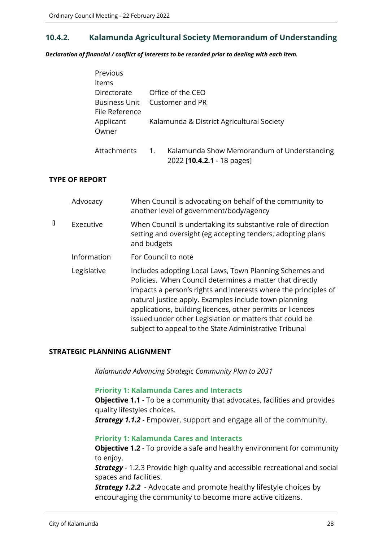# <span id="page-27-0"></span>**10.4.2. Kalamunda Agricultural Society Memorandum of Understanding**

*Declaration of financial / conflict of interests to be recorded prior to dealing with each item.*

| Previous                               |                  |                                                                          |  |
|----------------------------------------|------------------|--------------------------------------------------------------------------|--|
| <b>Items</b>                           |                  |                                                                          |  |
| Directorate                            |                  | Office of the CEO                                                        |  |
| <b>Business Unit</b><br>File Reference | Customer and PR  |                                                                          |  |
| Applicant<br>Owner                     |                  | Kalamunda & District Agricultural Society                                |  |
| Attachments                            | $\overline{1}$ . | Kalamunda Show Memorandum of Understanding<br>2022 [10.4.2.1 - 18 pages] |  |

#### **TYPE OF REPORT**

|   | Advocacy    | When Council is advocating on behalf of the community to<br>another level of government/body/agency                                                                                                                                                                                                                                                                                                                                |
|---|-------------|------------------------------------------------------------------------------------------------------------------------------------------------------------------------------------------------------------------------------------------------------------------------------------------------------------------------------------------------------------------------------------------------------------------------------------|
| D | Executive   | When Council is undertaking its substantive role of direction<br>setting and oversight (eg accepting tenders, adopting plans<br>and budgets                                                                                                                                                                                                                                                                                        |
|   | Information | For Council to note                                                                                                                                                                                                                                                                                                                                                                                                                |
|   | Legislative | Includes adopting Local Laws, Town Planning Schemes and<br>Policies. When Council determines a matter that directly<br>impacts a person's rights and interests where the principles of<br>natural justice apply. Examples include town planning<br>applications, building licences, other permits or licences<br>issued under other Legislation or matters that could be<br>subject to appeal to the State Administrative Tribunal |

#### **STRATEGIC PLANNING ALIGNMENT**

*Kalamunda Advancing Strategic Community Plan to 2031*

#### **Priority 1: Kalamunda Cares and Interacts**

**Objective 1.1** - To be a community that advocates, facilities and provides quality lifestyles choices.

*Strategy 1.1.2* - Empower, support and engage all of the community.

#### **Priority 1: Kalamunda Cares and Interacts**

**Objective 1.2** - To provide a safe and healthy environment for community to enjoy.

**Strategy** - 1.2.3 Provide high quality and accessible recreational and social spaces and facilities.

*Strategy 1.2.2* - Advocate and promote healthy lifestyle choices by encouraging the community to become more active citizens.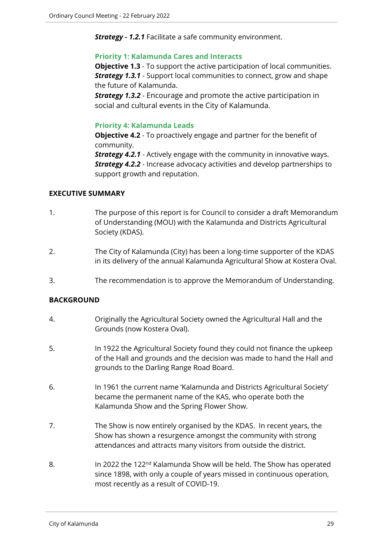*Strategy - 1.2.1* Facilitate a safe community environment.

#### **Priority 1: Kalamunda Cares and Interacts**

**Objective 1.3** - To support the active participation of local communities. *Strategy 1.3.1* - Support local communities to connect, grow and shape the future of Kalamunda.

*Strategy 1.3.2* - Encourage and promote the active participation in social and cultural events in the City of Kalamunda.

#### **Priority 4: Kalamunda Leads**

**Objective 4.2** - To proactively engage and partner for the benefit of community.

*Strategy 4.2.1* - Actively engage with the community in innovative ways. *Strategy 4.2.2* - Increase advocacy activities and develop partnerships to support growth and reputation.

# **EXECUTIVE SUMMARY**

- 1. The purpose of this report is for Council to consider a draft Memorandum of Understanding (MOU) with the Kalamunda and Districts Agricultural Society (KDAS).
- 2. The City of Kalamunda (City) has been a long-time supporter of the KDAS in its delivery of the annual Kalamunda Agricultural Show at Kostera Oval.
- 3. The recommendation is to approve the Memorandum of Understanding.

# **BACKGROUND**

- 4. Originally the Agricultural Society owned the Agricultural Hall and the Grounds (now Kostera Oval).
- 5. In 1922 the Agricultural Society found they could not finance the upkeep of the Hall and grounds and the decision was made to hand the Hall and grounds to the Darling Range Road Board.
- 6. In 1961 the current name 'Kalamunda and Districts Agricultural Society' became the permanent name of the KAS, who operate both the Kalamunda Show and the Spring Flower Show.
- 7. The Show is now entirely organised by the KDAS. In recent years, the Show has shown a resurgence amongst the community with strong attendances and attracts many visitors from outside the district.
- 8. In 2022 the 122<sup>nd</sup> Kalamunda Show will be held. The Show has operated since 1898, with only a couple of years missed in continuous operation, most recently as a result of COVID-19.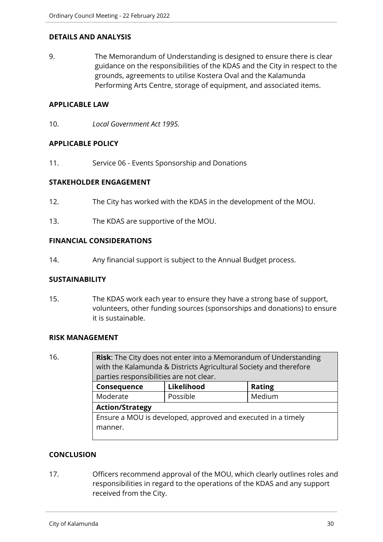#### **DETAILS AND ANALYSIS**

9. The Memorandum of Understanding is designed to ensure there is clear guidance on the responsibilities of the KDAS and the City in respect to the grounds, agreements to utilise Kostera Oval and the Kalamunda Performing Arts Centre, storage of equipment, and associated items.

#### **APPLICABLE LAW**

10. *Local Government Act 1995.* 

#### **APPLICABLE POLICY**

11. Service 06 - Events Sponsorship and Donations

#### **STAKEHOLDER ENGAGEMENT**

- 12. The City has worked with the KDAS in the development of the MOU.
- 13. The KDAS are supportive of the MOU.

#### **FINANCIAL CONSIDERATIONS**

14. Any financial support is subject to the Annual Budget process.

#### **SUSTAINABILITY**

15. The KDAS work each year to ensure they have a strong base of support, volunteers, other funding sources (sponsorships and donations) to ensure it is sustainable.

#### **RISK MANAGEMENT**

16. **Risk**: The City does not enter into a Memorandum of Understanding with the Kalamunda & Districts Agricultural Society and therefore parties responsibilities are not clear. **Consequence Likelihood Rating** Moderate | Possible | Medium **Action/Strategy** Ensure a MOU is developed, approved and executed in a timely manner.

# **CONCLUSION**

17. Officers recommend approval of the MOU, which clearly outlines roles and responsibilities in regard to the operations of the KDAS and any support received from the City.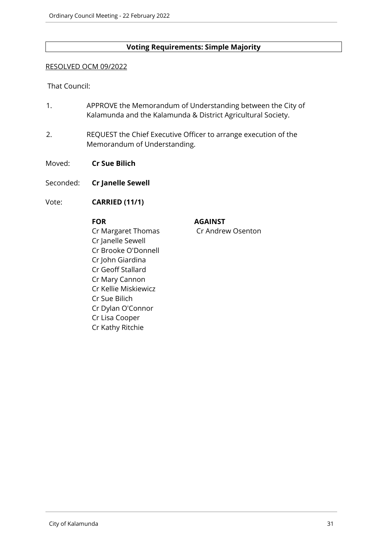# **Voting Requirements: Simple Majority**

#### RESOLVED OCM 09/2022

#### That Council:

- 1. APPROVE the Memorandum of Understanding between the City of Kalamunda and the Kalamunda & District Agricultural Society.
- 2. REQUEST the Chief Executive Officer to arrange execution of the Memorandum of Understanding.
- Moved: **Cr Sue Bilich**
- Seconded: **Cr Janelle Sewell**
- Vote: **CARRIED (11/1)**

Cr Margaret Thomas Cr Andrew Osenton Cr Janelle Sewell Cr Brooke O'Donnell Cr John Giardina Cr Geoff Stallard Cr Mary Cannon Cr Kellie Miskiewicz Cr Sue Bilich Cr Dylan O'Connor Cr Lisa Cooper Cr Kathy Ritchie

**FOR AGAINST**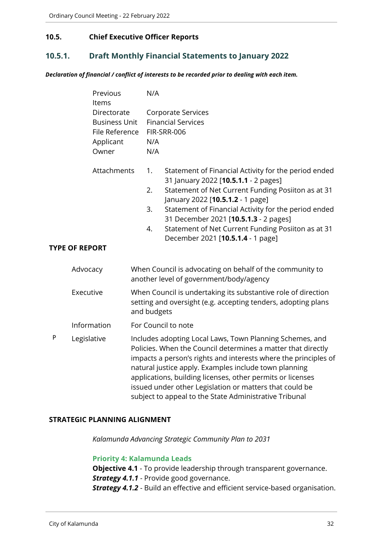# <span id="page-31-0"></span>**10.5. Chief Executive Officer Reports**

# <span id="page-31-1"></span>**10.5.1. Draft Monthly Financial Statements to January 2022**

*Declaration of financial / conflict of interests to be recorded prior to dealing with each item.*

|   | Previous<br>Items                                                           | N/A                                                                                                                                                                                                                                                                                                                                                                                                                                     |  |  |
|---|-----------------------------------------------------------------------------|-----------------------------------------------------------------------------------------------------------------------------------------------------------------------------------------------------------------------------------------------------------------------------------------------------------------------------------------------------------------------------------------------------------------------------------------|--|--|
|   | Directorate<br><b>Business Unit</b><br>File Reference<br>Applicant<br>Owner | <b>Corporate Services</b><br><b>Financial Services</b><br>FIR-SRR-006<br>N/A<br>N/A                                                                                                                                                                                                                                                                                                                                                     |  |  |
|   | Attachments<br><b>TYPE OF REPORT</b>                                        | Statement of Financial Activity for the period ended<br>1.<br>31 January 2022 [10.5.1.1 - 2 pages]<br>Statement of Net Current Funding Posiiton as at 31<br>2.<br>January 2022 [10.5.1.2 - 1 page]<br>3.<br>Statement of Financial Activity for the period ended<br>31 December 2021 [10.5.1.3 - 2 pages]<br>Statement of Net Current Funding Posiiton as at 31<br>4.<br>December 2021 [10.5.1.4 - 1 page]                              |  |  |
|   | Advocacy                                                                    | When Council is advocating on behalf of the community to<br>another level of government/body/agency                                                                                                                                                                                                                                                                                                                                     |  |  |
|   | Executive                                                                   | When Council is undertaking its substantive role of direction<br>setting and oversight (e.g. accepting tenders, adopting plans<br>and budgets                                                                                                                                                                                                                                                                                           |  |  |
|   | Information                                                                 | For Council to note                                                                                                                                                                                                                                                                                                                                                                                                                     |  |  |
| P | Legislative                                                                 | Includes adopting Local Laws, Town Planning Schemes, and<br>Policies. When the Council determines a matter that directly<br>impacts a person's rights and interests where the principles of<br>natural justice apply. Examples include town planning<br>applications, building licenses, other permits or licenses<br>issued under other Legislation or matters that could be<br>subject to appeal to the State Administrative Tribunal |  |  |

#### **STRATEGIC PLANNING ALIGNMENT**

*Kalamunda Advancing Strategic Community Plan to 2031*

#### **Priority 4: Kalamunda Leads**

**Objective 4.1** - To provide leadership through transparent governance. **Strategy 4.1.1** - Provide good governance. *Strategy 4.1.2* - Build an effective and efficient service-based organisation.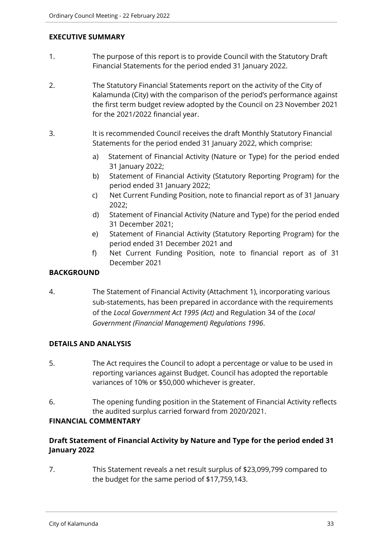### **EXECUTIVE SUMMARY**

- 1. The purpose of this report is to provide Council with the Statutory Draft Financial Statements for the period ended 31 January 2022.
- 2. The Statutory Financial Statements report on the activity of the City of Kalamunda (City) with the comparison of the period's performance against the first term budget review adopted by the Council on 23 November 2021 for the 2021/2022 financial year.
- 3. It is recommended Council receives the draft Monthly Statutory Financial Statements for the period ended 31 January 2022, which comprise:
	- a) Statement of Financial Activity (Nature or Type) for the period ended 31 January 2022;
	- b) Statement of Financial Activity (Statutory Reporting Program) for the period ended 31 January 2022;
	- c) Net Current Funding Position, note to financial report as of 31 January 2022;
	- d) Statement of Financial Activity (Nature and Type) for the period ended 31 December 2021;
	- e) Statement of Financial Activity (Statutory Reporting Program) for the period ended 31 December 2021 and
	- f) Net Current Funding Position, note to financial report as of 31 December 2021

# **BACKGROUND**

4. The Statement of Financial Activity (Attachment 1), incorporating various sub-statements, has been prepared in accordance with the requirements of the *Local Government Act 1995 (Act)* and Regulation 34 of the *Local Government (Financial Management) Regulations 1996*.

# **DETAILS AND ANALYSIS**

- 5. The Act requires the Council to adopt a percentage or value to be used in reporting variances against Budget. Council has adopted the reportable variances of 10% or \$50,000 whichever is greater.
- 6. The opening funding position in the Statement of Financial Activity reflects the audited surplus carried forward from 2020/2021.

# **FINANCIAL COMMENTARY**

# **Draft Statement of Financial Activity by Nature and Type for the period ended 31 January 2022**

7. This Statement reveals a net result surplus of \$23,099,799 compared to the budget for the same period of \$17,759,143.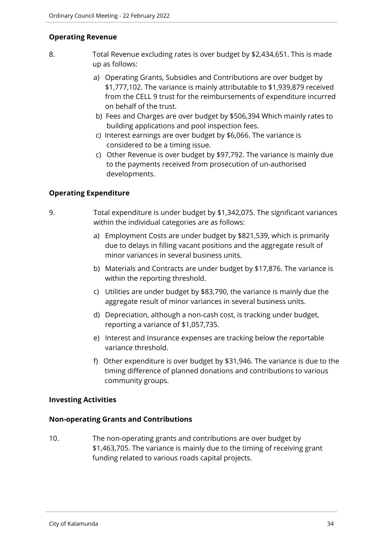# **Operating Revenue**

- 8. Total Revenue excluding rates is over budget by \$2,434,651. This is made up as follows:
	- a) Operating Grants, Subsidies and Contributions are over budget by \$1,777,102. The variance is mainly attributable to \$1,939,879 received from the CELL 9 trust for the reimbursements of expenditure incurred on behalf of the trust.
	- b) Fees and Charges are over budget by \$506,394 Which mainly rates to building applications and pool inspection fees.
	- c) Interest earnings are over budget by \$6,066. The variance is considered to be a timing issue.
	- c) Other Revenue is over budget by \$97,792. The variance is mainly due to the payments received from prosecution of un-authorised developments.

# **Operating Expenditure**

- 9. Total expenditure is under budget by \$1,342,075. The significant variances within the individual categories are as follows:
	- a) Employment Costs are under budget by \$821,539, which is primarily due to delays in filling vacant positions and the aggregate result of minor variances in several business units.
	- b) Materials and Contracts are under budget by \$17,876. The variance is within the reporting threshold.
	- c) Utilities are under budget by \$83,790, the variance is mainly due the aggregate result of minor variances in several business units.
	- d) Depreciation, although a non-cash cost, is tracking under budget, reporting a variance of \$1,057,735.
	- e) Interest and Insurance expenses are tracking below the reportable variance threshold.
	- f) Other expenditure is over budget by \$31,946. The variance is due to the timing difference of planned donations and contributions to various community groups.

# **Investing Activities**

# **Non-operating Grants and Contributions**

10. The non-operating grants and contributions are over budget by \$1,463,705. The variance is mainly due to the timing of receiving grant funding related to various roads capital projects.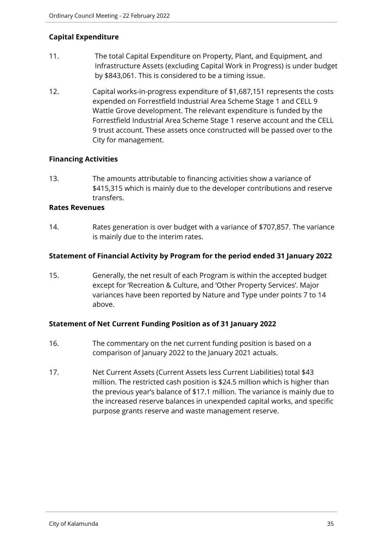# **Capital Expenditure**

- 11. The total Capital Expenditure on Property, Plant, and Equipment, and Infrastructure Assets (excluding Capital Work in Progress) is under budget by \$843,061. This is considered to be a timing issue.
- 12. Capital works-in-progress expenditure of \$1,687,151 represents the costs expended on Forrestfield Industrial Area Scheme Stage 1 and CELL 9 Wattle Grove development. The relevant expenditure is funded by the Forrestfield Industrial Area Scheme Stage 1 reserve account and the CELL 9 trust account. These assets once constructed will be passed over to the City for management.

# **Financing Activities**

13. The amounts attributable to financing activities show a variance of \$415,315 which is mainly due to the developer contributions and reserve transfers.

#### **Rates Revenues**

14. Rates generation is over budget with a variance of \$707,857. The variance is mainly due to the interim rates.

# **Statement of Financial Activity by Program for the period ended 31 January 2022**

15. Generally, the net result of each Program is within the accepted budget except for 'Recreation & Culture, and 'Other Property Services'. Major variances have been reported by Nature and Type under points 7 to 14 above.

# **Statement of Net Current Funding Position as of 31 January 2022**

- 16. The commentary on the net current funding position is based on a comparison of January 2022 to the January 2021 actuals.
- 17. Net Current Assets (Current Assets less Current Liabilities) total \$43 million. The restricted cash position is \$24.5 million which is higher than the previous year's balance of \$17.1 million. The variance is mainly due to the increased reserve balances in unexpended capital works, and specific purpose grants reserve and waste management reserve.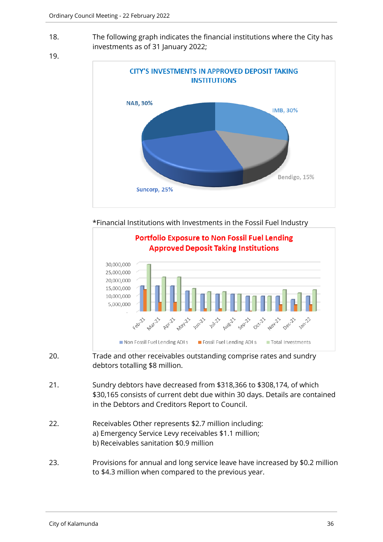18. The following graph indicates the financial institutions where the City has investments as of 31 January 2022;





\*Financial Institutions with Investments in the Fossil Fuel Industry



- 20. Trade and other receivables outstanding comprise rates and sundry debtors totalling \$8 million.
- 21. Sundry debtors have decreased from \$318,366 to \$308,174, of which \$30,165 consists of current debt due within 30 days. Details are contained in the Debtors and Creditors Report to Council.
- 22. Receivables Other represents \$2.7 million including: a) Emergency Service Levy receivables \$1.1 million; b) Receivables sanitation \$0.9 million
- 23. Provisions for annual and long service leave have increased by \$0.2 million to \$4.3 million when compared to the previous year.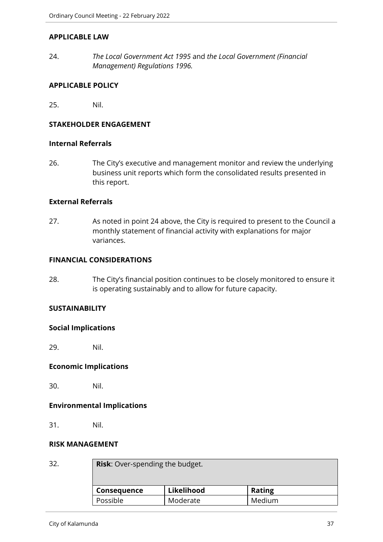#### **APPLICABLE LAW**

24. *The Local Government Act 1995* and *the Local Government (Financial Management) Regulations 1996.*

#### **APPLICABLE POLICY**

25. Nil.

# **STAKEHOLDER ENGAGEMENT**

#### **Internal Referrals**

26. The City's executive and management monitor and review the underlying business unit reports which form the consolidated results presented in this report.

#### **External Referrals**

27. As noted in point 24 above, the City is required to present to the Council a monthly statement of financial activity with explanations for major variances.

## **FINANCIAL CONSIDERATIONS**

28. The City's financial position continues to be closely monitored to ensure it is operating sustainably and to allow for future capacity.

#### **SUSTAINABILITY**

#### **Social Implications**

29. Nil.

#### **Economic Implications**

30. Nil.

#### **Environmental Implications**

31. Nil.

#### **RISK MANAGEMENT**

| 32. | <b>Risk:</b> Over-spending the budget. |            |               |  |  |
|-----|----------------------------------------|------------|---------------|--|--|
|     | <b>Consequence</b>                     | Likelihood | <b>Rating</b> |  |  |
|     | Possible                               | Moderate   | Medium        |  |  |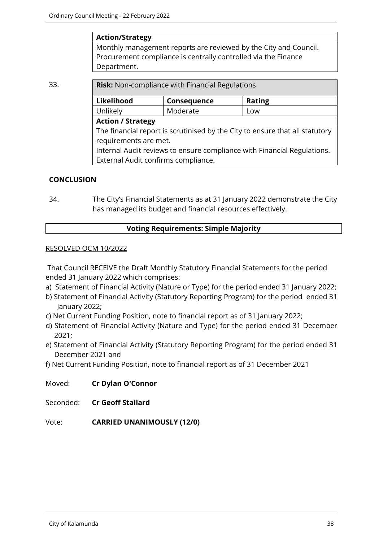## **Action/Strategy**

Monthly management reports are reviewed by the City and Council. Procurement compliance is centrally controlled via the Finance Department.

| 33. |            | <b>Risk:</b> Non-compliance with Financial Regulations                                                                                                                           |               |  |  |  |
|-----|------------|----------------------------------------------------------------------------------------------------------------------------------------------------------------------------------|---------------|--|--|--|
|     | Likelihood | Consequence                                                                                                                                                                      | <b>Rating</b> |  |  |  |
|     | Unlikely   | Moderate                                                                                                                                                                         | Low           |  |  |  |
|     |            | <b>Action / Strategy</b>                                                                                                                                                         |               |  |  |  |
|     |            | The financial report is scrutinised by the City to ensure that all statutory<br>requirements are met.<br>Internal Audit reviews to ensure compliance with Financial Regulations. |               |  |  |  |
|     |            | External Audit confirms compliance.                                                                                                                                              |               |  |  |  |

## **CONCLUSION**

34. The City's Financial Statements as at 31 January 2022 demonstrate the City has managed its budget and financial resources effectively.

## **Voting Requirements: Simple Majority**

#### RESOLVED OCM 10/2022

That Council RECEIVE the Draft Monthly Statutory Financial Statements for the period ended 31 January 2022 which comprises:

- a) Statement of Financial Activity (Nature or Type) for the period ended 31 January 2022;
- b) Statement of Financial Activity (Statutory Reporting Program) for the period ended 31 January 2022;
- c) Net Current Funding Position, note to financial report as of 31 January 2022;
- d) Statement of Financial Activity (Nature and Type) for the period ended 31 December 2021;
- e) Statement of Financial Activity (Statutory Reporting Program) for the period ended 31 December 2021 and
- f) Net Current Funding Position, note to financial report as of 31 December 2021

Moved: **Cr Dylan O'Connor**

Seconded: **Cr Geoff Stallard**

Vote: **CARRIED UNANIMOUSLY (12/0)**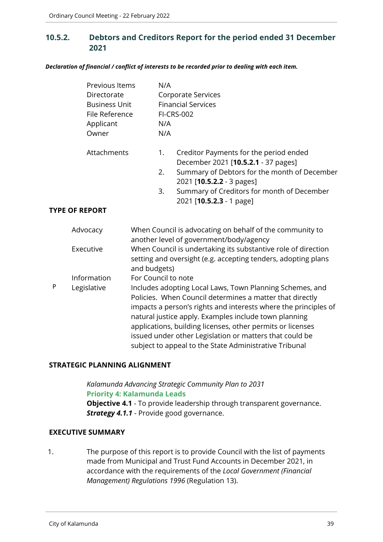# **10.5.2. Debtors and Creditors Report for the period ended 31 December 2021**

*Declaration of financial / conflict of interests to be recorded prior to dealing with each item.*

|   | Previous Items<br>Directorate<br><b>Business Unit</b><br>File Reference<br>Applicant<br>Owner |                                     | N/A<br>N/A<br>N/A | <b>Corporate Services</b><br><b>Financial Services</b><br><b>FI-CRS-002</b>                                                                                                                                                                                                                                                                                                                                                         |
|---|-----------------------------------------------------------------------------------------------|-------------------------------------|-------------------|-------------------------------------------------------------------------------------------------------------------------------------------------------------------------------------------------------------------------------------------------------------------------------------------------------------------------------------------------------------------------------------------------------------------------------------|
|   | Attachments                                                                                   |                                     | 1.<br>2.<br>3.    | Creditor Payments for the period ended<br>December 2021 [10.5.2.1 - 37 pages]<br>Summary of Debtors for the month of December<br>2021 [10.5.2.2 - 3 pages]<br>Summary of Creditors for month of December                                                                                                                                                                                                                            |
|   | <b>TYPE OF REPORT</b>                                                                         |                                     |                   | 2021 [10.5.2.3 - 1 page]                                                                                                                                                                                                                                                                                                                                                                                                            |
|   | Advocacy<br>Executive                                                                         |                                     |                   | When Council is advocating on behalf of the community to<br>another level of government/body/agency<br>When Council is undertaking its substantive role of direction<br>setting and oversight (e.g. accepting tenders, adopting plans                                                                                                                                                                                               |
| P | Information<br>Legislative                                                                    | and budgets)<br>For Council to note |                   | Includes adopting Local Laws, Town Planning Schemes, and<br>Policies. When Council determines a matter that directly<br>impacts a person's rights and interests where the principles of<br>natural justice apply. Examples include town planning<br>applications, building licenses, other permits or licenses<br>issued under other Legislation or matters that could be<br>subject to appeal to the State Administrative Tribunal |

#### **STRATEGIC PLANNING ALIGNMENT**

*Kalamunda Advancing Strategic Community Plan to 2031* **Priority 4: Kalamunda Leads Objective 4.1** - To provide leadership through transparent governance. **Strategy 4.1.1** - Provide good governance.

#### **EXECUTIVE SUMMARY**

1. The purpose of this report is to provide Council with the list of payments made from Municipal and Trust Fund Accounts in December 2021, in accordance with the requirements of the *Local Government (Financial Management) Regulations 1996* (Regulation 13).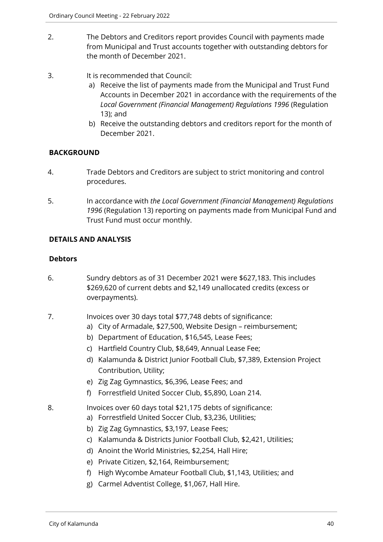- 2. The Debtors and Creditors report provides Council with payments made from Municipal and Trust accounts together with outstanding debtors for the month of December 2021.
- 3. It is recommended that Council:
	- a) Receive the list of payments made from the Municipal and Trust Fund Accounts in December 2021 in accordance with the requirements of the *Local Government (Financial Management) Regulations 1996* (Regulation 13); and
	- b) Receive the outstanding debtors and creditors report for the month of December 2021.

# **BACKGROUND**

- 4. Trade Debtors and Creditors are subject to strict monitoring and control procedures.
- 5. In accordance with *the Local Government (Financial Management) Regulations 1996* (Regulation 13) reporting on payments made from Municipal Fund and Trust Fund must occur monthly.

# **DETAILS AND ANALYSIS**

# **Debtors**

- 6. Sundry debtors as of 31 December 2021 were \$627,183. This includes \$269,620 of current debts and \$2,149 unallocated credits (excess or overpayments).
- 7. Invoices over 30 days total \$77,748 debts of significance:
	- a) City of Armadale, \$27,500, Website Design reimbursement;
	- b) Department of Education, \$16,545, Lease Fees;
	- c) Hartfield Country Club, \$8,649, Annual Lease Fee;
	- d) Kalamunda & District Junior Football Club, \$7,389, Extension Project Contribution, Utility;
	- e) Zig Zag Gymnastics, \$6,396, Lease Fees; and
	- f) Forrestfield United Soccer Club, \$5,890, Loan 214.
- 8. Invoices over 60 days total \$21,175 debts of significance:
	- a) Forrestfield United Soccer Club, \$3,236, Utilities;
	- b) Zig Zag Gymnastics, \$3,197, Lease Fees;
	- c) Kalamunda & Districts Junior Football Club, \$2,421, Utilities;
	- d) Anoint the World Ministries, \$2,254, Hall Hire;
	- e) Private Citizen, \$2,164, Reimbursement;
	- f) High Wycombe Amateur Football Club, \$1,143, Utilities; and
	- g) Carmel Adventist College, \$1,067, Hall Hire.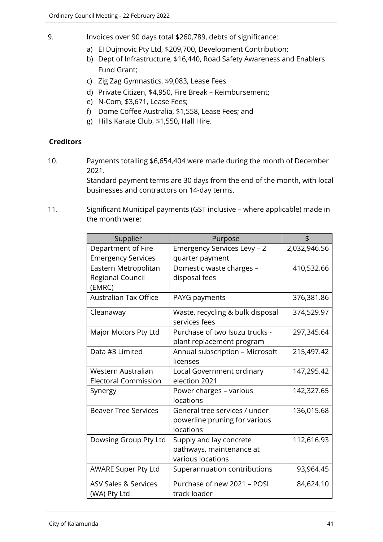- 9. Invoices over 90 days total \$260,789, debts of significance:
	- a) EI Dujmovic Pty Ltd, \$209,700, Development Contribution;
	- b) Dept of Infrastructure, \$16,440, Road Safety Awareness and Enablers Fund Grant;
	- c) Zig Zag Gymnastics, \$9,083, Lease Fees
	- d) Private Citizen, \$4,950, Fire Break Reimbursement;
	- e) N-Com, \$3,671, Lease Fees;
	- f) Dome Coffee Australia, \$1,558, Lease Fees; and
	- g) Hills Karate Club, \$1,550, Hall Hire.

# **Creditors**

10. Payments totalling \$6,654,404 were made during the month of December 2021.

> Standard payment terms are 30 days from the end of the month, with local businesses and contractors on 14-day terms.

11. Significant Municipal payments (GST inclusive – where applicable) made in the month were:

| Supplier                                           | Purpose                                                                     | \$           |
|----------------------------------------------------|-----------------------------------------------------------------------------|--------------|
| Department of Fire<br><b>Emergency Services</b>    | Emergency Services Levy - 2<br>quarter payment                              | 2,032,946.56 |
| Eastern Metropolitan<br>Regional Council<br>(EMRC) | Domestic waste charges -<br>disposal fees                                   | 410,532.66   |
| <b>Australian Tax Office</b>                       | PAYG payments                                                               | 376,381.86   |
| Cleanaway                                          | Waste, recycling & bulk disposal<br>services fees                           | 374,529.97   |
| Major Motors Pty Ltd                               | Purchase of two Isuzu trucks -<br>plant replacement program                 | 297,345.64   |
| Data #3 Limited                                    | Annual subscription - Microsoft<br>licenses                                 | 215,497.42   |
| Western Australian<br><b>Electoral Commission</b>  | Local Government ordinary<br>election 2021                                  | 147,295.42   |
| Synergy                                            | Power charges - various<br>locations                                        | 142,327.65   |
| <b>Beaver Tree Services</b>                        | General tree services / under<br>powerline pruning for various<br>locations | 136,015.68   |
| Dowsing Group Pty Ltd                              | Supply and lay concrete<br>pathways, maintenance at<br>various locations    | 112,616.93   |
| <b>AWARE Super Pty Ltd</b>                         | Superannuation contributions                                                | 93,964.45    |
| <b>ASV Sales &amp; Services</b><br>(WA) Pty Ltd    | Purchase of new 2021 - POSI<br>track loader                                 | 84,624.10    |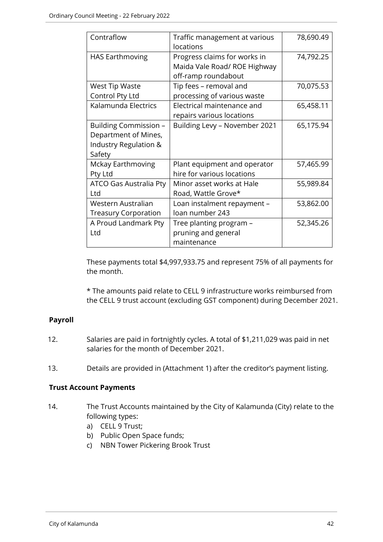| Contraflow                                                                       | Traffic management at various<br>locations                                          | 78,690.49 |
|----------------------------------------------------------------------------------|-------------------------------------------------------------------------------------|-----------|
| <b>HAS Earthmoving</b>                                                           | Progress claims for works in<br>Maida Vale Road/ ROE Highway<br>off-ramp roundabout | 74,792.25 |
| <b>West Tip Waste</b><br>Control Pty Ltd                                         | Tip fees - removal and<br>processing of various waste                               | 70,075.53 |
| Kalamunda Electrics                                                              | Electrical maintenance and<br>repairs various locations                             | 65,458.11 |
| Building Commission -<br>Department of Mines,<br>Industry Regulation &<br>Safety | Building Levy - November 2021                                                       | 65,175.94 |
| Mckay Earthmoving<br>Pty Ltd                                                     | Plant equipment and operator<br>hire for various locations                          | 57,465.99 |
| ATCO Gas Australia Pty<br>Ltd                                                    | Minor asset works at Hale<br>Road, Wattle Grove*                                    | 55,989.84 |
| Western Australian<br><b>Treasury Corporation</b>                                | Loan instalment repayment -<br>loan number 243                                      | 53,862.00 |
| A Proud Landmark Pty<br>Ltd                                                      | Tree planting program -<br>pruning and general<br>maintenance                       | 52,345.26 |

These payments total \$4,997,933.75 and represent 75% of all payments for the month.

\* The amounts paid relate to CELL 9 infrastructure works reimbursed from the CELL 9 trust account (excluding GST component) during December 2021.

# **Payroll**

- 12. Salaries are paid in fortnightly cycles. A total of \$1,211,029 was paid in net salaries for the month of December 2021.
- 13. Details are provided in (Attachment 1) after the creditor's payment listing.

# **Trust Account Payments**

- 14. The Trust Accounts maintained by the City of Kalamunda (City) relate to the following types:
	- a) CELL 9 Trust;
	- b) Public Open Space funds;
	- c) NBN Tower Pickering Brook Trust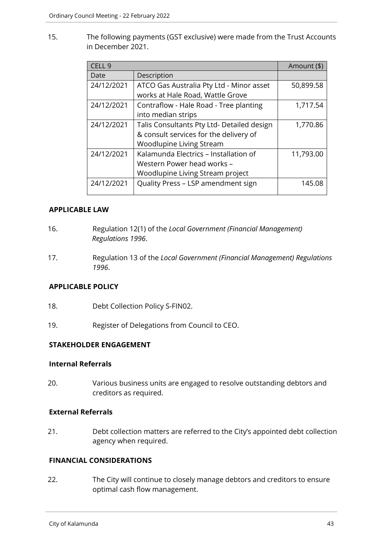15. The following payments (GST exclusive) were made from the Trust Accounts in December 2021.

| CELL <sub>9</sub> |                                            | Amount (\$) |
|-------------------|--------------------------------------------|-------------|
| Date              | Description                                |             |
| 24/12/2021        | ATCO Gas Australia Pty Ltd - Minor asset   | 50,899.58   |
|                   | works at Hale Road, Wattle Grove           |             |
| 24/12/2021        | Contraflow - Hale Road - Tree planting     | 1,717.54    |
|                   | into median strips                         |             |
| 24/12/2021        | Talis Consultants Pty Ltd- Detailed design | 1,770.86    |
|                   | & consult services for the delivery of     |             |
|                   | Woodlupine Living Stream                   |             |
| 24/12/2021        | Kalamunda Electrics - Installation of      | 11,793.00   |
|                   | Western Power head works -                 |             |
|                   | Woodlupine Living Stream project           |             |
| 24/12/2021        | Quality Press - LSP amendment sign         | 145.08      |

# **APPLICABLE LAW**

- 16. Regulation 12(1) of the *Local Government (Financial Management) Regulations 1996*.
- 17. Regulation 13 of the *Local Government (Financial Management) Regulations 1996*.

# **APPLICABLE POLICY**

- 18. Debt Collection Policy S-FIN02.
- 19. Register of Delegations from Council to CEO.

# **STAKEHOLDER ENGAGEMENT**

#### **Internal Referrals**

20. Various business units are engaged to resolve outstanding debtors and creditors as required.

# **External Referrals**

21. Debt collection matters are referred to the City's appointed debt collection agency when required.

# **FINANCIAL CONSIDERATIONS**

22. The City will continue to closely manage debtors and creditors to ensure optimal cash flow management.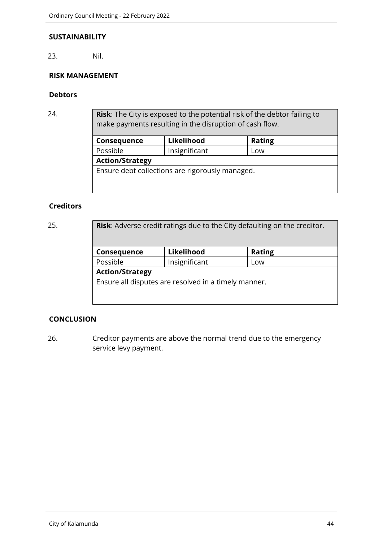#### **SUSTAINABILITY**

23. Nil.

# **RISK MANAGEMENT**

## **Debtors**

24. **Risk**: The City is exposed to the potential risk of the debtor failing to make payments resulting in the disruption of cash flow.

| Consequence            | Likelihood                                      | <b>Rating</b> |  |  |
|------------------------|-------------------------------------------------|---------------|--|--|
| Possible               | Insignificant                                   | Low           |  |  |
| <b>Action/Strategy</b> |                                                 |               |  |  |
|                        | Ensure debt collections are rigorously managed. |               |  |  |

## **Creditors**

| 25. | <b>Risk:</b> Adverse credit ratings due to the City defaulting on the creditor. |               |               |  |  |
|-----|---------------------------------------------------------------------------------|---------------|---------------|--|--|
|     | Consequence                                                                     | Likelihood    | <b>Rating</b> |  |  |
|     | Possible                                                                        | Insignificant | Low           |  |  |
|     | <b>Action/Strategy</b>                                                          |               |               |  |  |
|     | Ensure all disputes are resolved in a timely manner.                            |               |               |  |  |

# **CONCLUSION**

26. Creditor payments are above the normal trend due to the emergency service levy payment.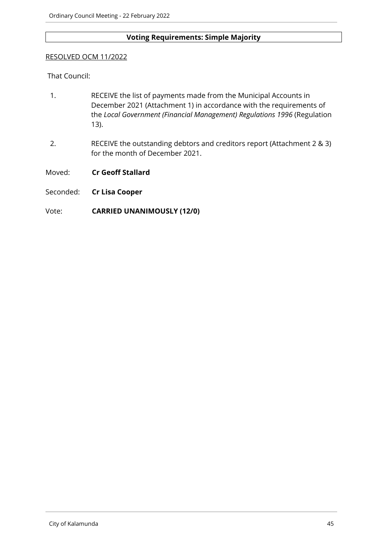# **Voting Requirements: Simple Majority**

#### RESOLVED OCM 11/2022

That Council:

- 1. RECEIVE the list of payments made from the Municipal Accounts in December 2021 (Attachment 1) in accordance with the requirements of the *Local Government (Financial Management) Regulations 1996* (Regulation 13).
- 2. RECEIVE the outstanding debtors and creditors report (Attachment 2 & 3) for the month of December 2021.
- Moved: **Cr Geoff Stallard**
- Seconded: **Cr Lisa Cooper**

## Vote: **CARRIED UNANIMOUSLY (12/0)**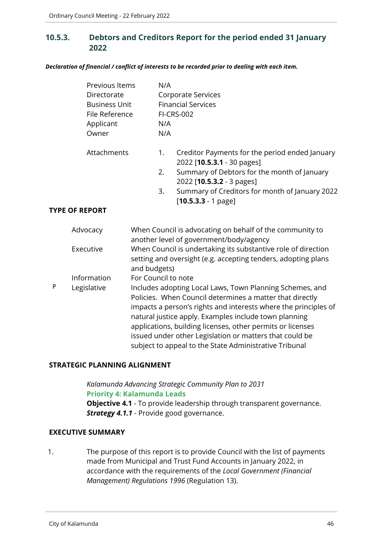# **10.5.3. Debtors and Creditors Report for the period ended 31 January 2022**

*Declaration of financial / conflict of interests to be recorded prior to dealing with each item.*

|   | Previous Items<br>Directorate<br><b>Business Unit</b><br>File Reference<br>Applicant<br>Owner |                     | N/A<br>N/A<br>N/A | <b>Corporate Services</b><br><b>Financial Services</b><br><b>FI-CRS-002</b>                                                                                                                                                                                                                                                                                                                                                         |
|---|-----------------------------------------------------------------------------------------------|---------------------|-------------------|-------------------------------------------------------------------------------------------------------------------------------------------------------------------------------------------------------------------------------------------------------------------------------------------------------------------------------------------------------------------------------------------------------------------------------------|
|   | Attachments                                                                                   |                     | 1.<br>2.          | Creditor Payments for the period ended January<br>2022 [10.5.3.1 - 30 pages]<br>Summary of Debtors for the month of January<br>2022 [10.5.3.2 - 3 pages]                                                                                                                                                                                                                                                                            |
|   |                                                                                               |                     | 3.                | Summary of Creditors for month of January 2022<br>$[10.5.3.3 - 1$ page]                                                                                                                                                                                                                                                                                                                                                             |
|   | <b>TYPE OF REPORT</b>                                                                         |                     |                   |                                                                                                                                                                                                                                                                                                                                                                                                                                     |
|   | Advocacy                                                                                      |                     |                   | When Council is advocating on behalf of the community to<br>another level of government/body/agency                                                                                                                                                                                                                                                                                                                                 |
|   | Executive                                                                                     | and budgets)        |                   | When Council is undertaking its substantive role of direction<br>setting and oversight (e.g. accepting tenders, adopting plans                                                                                                                                                                                                                                                                                                      |
|   | Information                                                                                   | For Council to note |                   |                                                                                                                                                                                                                                                                                                                                                                                                                                     |
| P | Legislative                                                                                   |                     |                   | Includes adopting Local Laws, Town Planning Schemes, and<br>Policies. When Council determines a matter that directly<br>impacts a person's rights and interests where the principles of<br>natural justice apply. Examples include town planning<br>applications, building licenses, other permits or licenses<br>issued under other Legislation or matters that could be<br>subject to appeal to the State Administrative Tribunal |

# **STRATEGIC PLANNING ALIGNMENT**

*Kalamunda Advancing Strategic Community Plan to 2031* **Priority 4: Kalamunda Leads Objective 4.1** - To provide leadership through transparent governance. **Strategy 4.1.1** - Provide good governance.

#### **EXECUTIVE SUMMARY**

1. The purpose of this report is to provide Council with the list of payments made from Municipal and Trust Fund Accounts in January 2022, in accordance with the requirements of the *Local Government (Financial Management) Regulations 1996* (Regulation 13).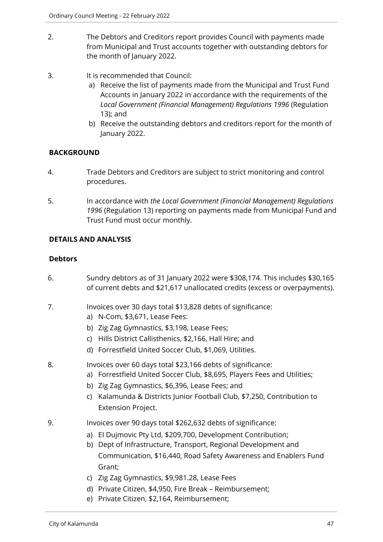- 2. The Debtors and Creditors report provides Council with payments made from Municipal and Trust accounts together with outstanding debtors for the month of January 2022.
- 3. It is recommended that Council:
	- a) Receive the list of payments made from the Municipal and Trust Fund Accounts in January 2022 in accordance with the requirements of the *Local Government (Financial Management) Regulations 1996* (Regulation 13); and
	- b) Receive the outstanding debtors and creditors report for the month of January 2022.

# **BACKGROUND**

- 4. Trade Debtors and Creditors are subject to strict monitoring and control procedures.
- 5. In accordance with *the Local Government (Financial Management) Regulations 1996* (Regulation 13) reporting on payments made from Municipal Fund and Trust Fund must occur monthly.

## **DETAILS AND ANALYSIS**

## **Debtors**

- 6. Sundry debtors as of 31 January 2022 were \$308,174. This includes \$30,165 of current debts and \$21,617 unallocated credits (excess or overpayments).
- 7. Invoices over 30 days total \$13,828 debts of significance:
	- a) N-Com, \$3,671, Lease Fees:
	- b) Zig Zag Gymnastics, \$3,198, Lease Fees;
	- c) Hills District Callisthenics, \$2,166, Hall Hire; and
	- d) Forrestfield United Soccer Club, \$1,069, Utilities.
- 8. Invoices over 60 days total \$23,166 debts of significance:
	- a) Forrestfield United Soccer Club, \$8,695, Players Fees and Utilities;
	- b) Zig Zag Gymnastics, \$6,396, Lease Fees; and
	- c) Kalamunda & Districts Junior Football Club, \$7,250, Contribution to Extension Project.
- 9. Invoices over 90 days total \$262,632 debts of significance:
	- a) EI Dujmovic Pty Ltd, \$209,700, Development Contribution;
	- b) Dept of Infrastructure, Transport, Regional Development and Communication, \$16,440, Road Safety Awareness and Enablers Fund Grant;
	- c) Zig Zag Gymnastics, \$9,981.28, Lease Fees
	- d) Private Citizen, \$4,950, Fire Break Reimbursement;
	- e) Private Citizen, \$2,164, Reimbursement;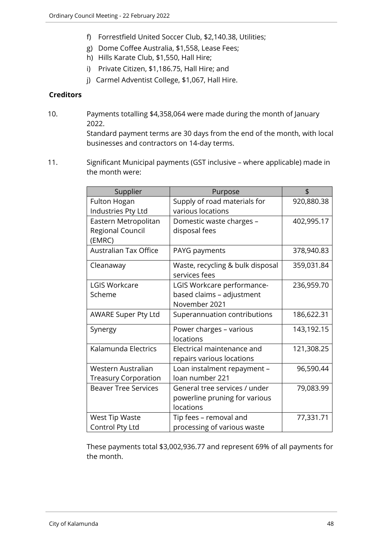- f) Forrestfield United Soccer Club, \$2,140.38, Utilities;
- g) Dome Coffee Australia, \$1,558, Lease Fees;
- h) Hills Karate Club, \$1,550, Hall Hire;
- i) Private Citizen, \$1,186.75, Hall Hire; and
- j) Carmel Adventist College, \$1,067, Hall Hire.

## **Creditors**

10. Payments totalling \$4,358,064 were made during the month of January 2022.

Standard payment terms are 30 days from the end of the month, with local businesses and contractors on 14-day terms.

11. Significant Municipal payments (GST inclusive – where applicable) made in the month were:

| Supplier                                           | Purpose                                                                     | \$         |
|----------------------------------------------------|-----------------------------------------------------------------------------|------------|
| Fulton Hogan<br>Industries Pty Ltd                 | Supply of road materials for<br>various locations                           | 920,880.38 |
| Eastern Metropolitan<br>Regional Council<br>(EMRC) | Domestic waste charges -<br>disposal fees                                   | 402,995.17 |
| <b>Australian Tax Office</b>                       | PAYG payments                                                               | 378,940.83 |
| Cleanaway                                          | Waste, recycling & bulk disposal<br>services fees                           | 359,031.84 |
| <b>LGIS Workcare</b><br>Scheme                     | LGIS Workcare performance-<br>based claims - adjustment<br>November 2021    | 236,959.70 |
| <b>AWARE Super Pty Ltd</b>                         | Superannuation contributions                                                | 186,622.31 |
| Synergy                                            | Power charges - various<br>locations                                        | 143,192.15 |
| Kalamunda Electrics                                | Electrical maintenance and<br>repairs various locations                     | 121,308.25 |
| Western Australian<br><b>Treasury Corporation</b>  | Loan instalment repayment -<br>loan number 221                              | 96,590.44  |
| <b>Beaver Tree Services</b>                        | General tree services / under<br>powerline pruning for various<br>locations | 79,083.99  |
| <b>West Tip Waste</b><br>Control Pty Ltd           | Tip fees - removal and<br>processing of various waste                       | 77,331.71  |

These payments total \$3,002,936.77 and represent 69% of all payments for the month.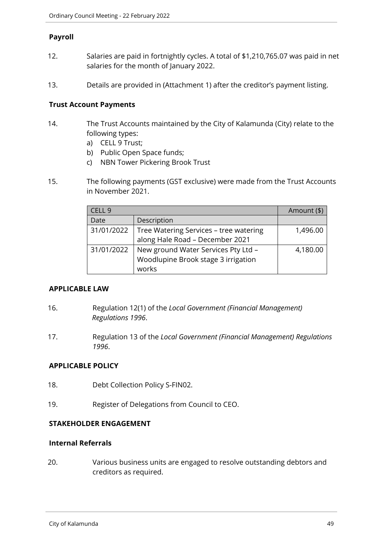## **Payroll**

- 12. Salaries are paid in fortnightly cycles. A total of \$1,210,765.07 was paid in net salaries for the month of January 2022.
- 13. Details are provided in (Attachment 1) after the creditor's payment listing.

## **Trust Account Payments**

- 14. The Trust Accounts maintained by the City of Kalamunda (City) relate to the following types:
	- a) CELL 9 Trust;
	- b) Public Open Space funds;
	- c) NBN Tower Pickering Brook Trust
- 15. The following payments (GST exclusive) were made from the Trust Accounts in November 2021.

| CELL 9     |                                        | Amount (\$) |
|------------|----------------------------------------|-------------|
| Date       | Description                            |             |
| 31/01/2022 | Tree Watering Services - tree watering | 1,496.00    |
|            | along Hale Road - December 2021        |             |
| 31/01/2022 | New ground Water Services Pty Ltd -    | 4,180.00    |
|            | Woodlupine Brook stage 3 irrigation    |             |
|            | works                                  |             |

#### **APPLICABLE LAW**

- 16. Regulation 12(1) of the *Local Government (Financial Management) Regulations 1996*.
- 17. Regulation 13 of the *Local Government (Financial Management) Regulations 1996*.

# **APPLICABLE POLICY**

- 18. Debt Collection Policy S-FIN02.
- 19. Register of Delegations from Council to CEO.

#### **STAKEHOLDER ENGAGEMENT**

## **Internal Referrals**

20. Various business units are engaged to resolve outstanding debtors and creditors as required.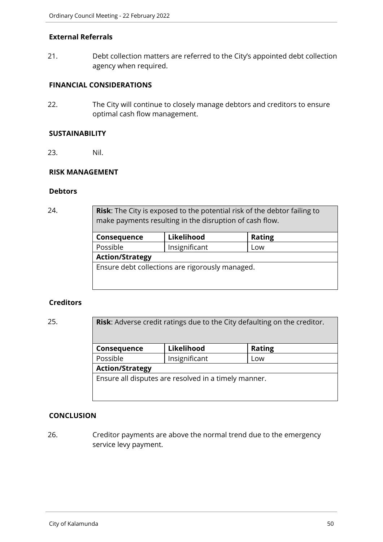## **External Referrals**

21. Debt collection matters are referred to the City's appointed debt collection agency when required.

## **FINANCIAL CONSIDERATIONS**

22. The City will continue to closely manage debtors and creditors to ensure optimal cash flow management.

#### **SUSTAINABILITY**

23. Nil.

#### **RISK MANAGEMENT**

#### **Debtors**

24. **Risk**: The City is exposed to the potential risk of the debtor failing to make payments resulting in the disruption of cash flow.

| Consequence            | Likelihood                                      | <b>Rating</b> |  |
|------------------------|-------------------------------------------------|---------------|--|
| Possible               | Insignificant                                   | Low           |  |
| <b>Action/Strategy</b> |                                                 |               |  |
|                        | Ensure debt collections are rigorously managed. |               |  |

#### **Creditors**

25. **Risk**: Adverse credit ratings due to the City defaulting on the creditor.

| Consequence                                          | Likelihood    | <b>Rating</b> |
|------------------------------------------------------|---------------|---------------|
| Possible                                             | Insignificant | Low           |
| <b>Action/Strategy</b>                               |               |               |
| Ensure all disputes are resolved in a timely manner. |               |               |
|                                                      |               |               |
|                                                      |               |               |

# **CONCLUSION**

26. Creditor payments are above the normal trend due to the emergency service levy payment.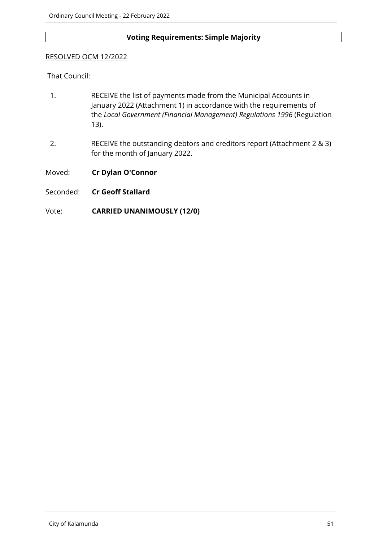# **Voting Requirements: Simple Majority**

#### RESOLVED OCM 12/2022

That Council:

- 1. RECEIVE the list of payments made from the Municipal Accounts in January 2022 (Attachment 1) in accordance with the requirements of the *Local Government (Financial Management) Regulations 1996* (Regulation 13).
- 2. RECEIVE the outstanding debtors and creditors report (Attachment 2 & 3) for the month of January 2022.
- Moved: **Cr Dylan O'Connor**
- Seconded: **Cr Geoff Stallard**

## Vote: **CARRIED UNANIMOUSLY (12/0)**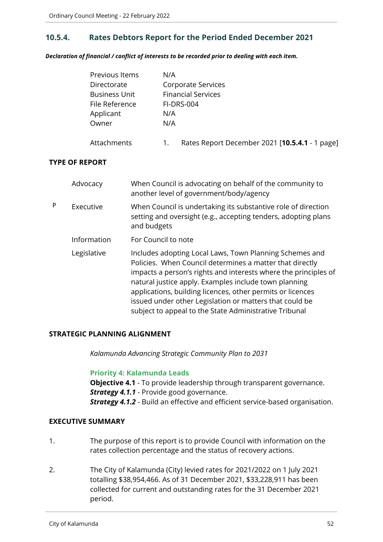# **10.5.4. Rates Debtors Report for the Period Ended December 2021**

*Declaration of financial / conflict of interests to be recorded prior to dealing with each item.*

| Previous Items       | N/A                                                  |
|----------------------|------------------------------------------------------|
| Directorate          | Corporate Services                                   |
| <b>Business Unit</b> | <b>Financial Services</b>                            |
| File Reference       | <b>FI-DRS-004</b>                                    |
| Applicant            | N/A                                                  |
| Owner                | N/A                                                  |
| Attachments          | Rates Report December 2021 [10.5.4.1 - 1 page]<br>1. |

## **TYPE OF REPORT**

|   | Advocacy    | When Council is advocating on behalf of the community to<br>another level of government/body/agency                                                                                                                                                                                                                                                                                                                                |
|---|-------------|------------------------------------------------------------------------------------------------------------------------------------------------------------------------------------------------------------------------------------------------------------------------------------------------------------------------------------------------------------------------------------------------------------------------------------|
| P | Executive   | When Council is undertaking its substantive role of direction<br>setting and oversight (e.g., accepting tenders, adopting plans<br>and budgets                                                                                                                                                                                                                                                                                     |
|   | Information | For Council to note                                                                                                                                                                                                                                                                                                                                                                                                                |
|   | Legislative | Includes adopting Local Laws, Town Planning Schemes and<br>Policies. When Council determines a matter that directly<br>impacts a person's rights and interests where the principles of<br>natural justice apply. Examples include town planning<br>applications, building licences, other permits or licences<br>issued under other Legislation or matters that could be<br>subject to appeal to the State Administrative Tribunal |

#### **STRATEGIC PLANNING ALIGNMENT**

*Kalamunda Advancing Strategic Community Plan to 2031*

#### **Priority 4: Kalamunda Leads**

**Objective 4.1** - To provide leadership through transparent governance.

*Strategy 4.1.1* - Provide good governance.

*Strategy 4.1.2* - Build an effective and efficient service-based organisation.

# **EXECUTIVE SUMMARY**

- 1. The purpose of this report is to provide Council with information on the rates collection percentage and the status of recovery actions.
- 2. The City of Kalamunda (City) levied rates for 2021/2022 on 1 July 2021 totalling \$38,954,466. As of 31 December 2021, \$33,228,911 has been collected for current and outstanding rates for the 31 December 2021 period.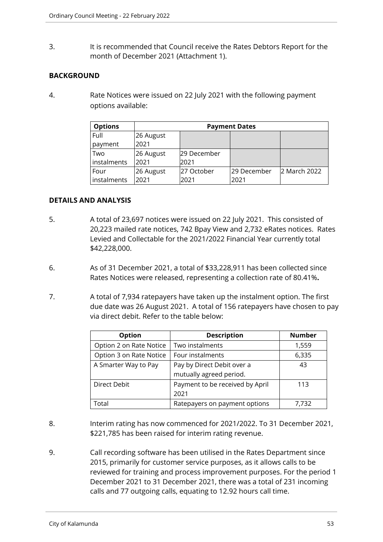3. It is recommended that Council receive the Rates Debtors Report for the month of December 2021 (Attachment 1).

# **BACKGROUND**

4. Rate Notices were issued on 22 July 2021 with the following payment options available:

| <b>Options</b> | <b>Payment Dates</b> |             |             |              |
|----------------|----------------------|-------------|-------------|--------------|
| Full           | 26 August            |             |             |              |
| payment        | 2021                 |             |             |              |
| Two            | 26 August            | 29 December |             |              |
| instalments    | 2021                 | 2021        |             |              |
| Four           | 26 August            | 27 October  | 29 December | 2 March 2022 |
| instalments    | 2021                 | 2021        | 2021        |              |

# **DETAILS AND ANALYSIS**

- 5. A total of 23,697 notices were issued on 22 July 2021. This consisted of 20,223 mailed rate notices, 742 Bpay View and 2,732 eRates notices. Rates Levied and Collectable for the 2021/2022 Financial Year currently total \$42,228,000.
- 6. As of 31 December 2021, a total of \$33,228,911 has been collected since Rates Notices were released, representing a collection rate of 80.41%**.**
- 7. A total of 7,934 ratepayers have taken up the instalment option. The first due date was 26 August 2021. A total of 156 ratepayers have chosen to pay via direct debit. Refer to the table below:

| <b>Option</b>           | <b>Description</b>              | <b>Number</b> |
|-------------------------|---------------------------------|---------------|
| Option 2 on Rate Notice | Two instalments                 | 1,559         |
| Option 3 on Rate Notice | Four instalments                | 6,335         |
| A Smarter Way to Pay    | Pay by Direct Debit over a      | 43            |
|                         | mutually agreed period.         |               |
| <b>Direct Debit</b>     | Payment to be received by April | 113           |
|                         | 2021                            |               |
| Total                   | Ratepayers on payment options   | 7,732         |

- 8. Interim rating has now commenced for 2021/2022. To 31 December 2021, \$221,785 has been raised for interim rating revenue.
- 9. Call recording software has been utilised in the Rates Department since 2015, primarily for customer service purposes, as it allows calls to be reviewed for training and process improvement purposes. For the period 1 December 2021 to 31 December 2021, there was a total of 231 incoming calls and 77 outgoing calls, equating to 12.92 hours call time.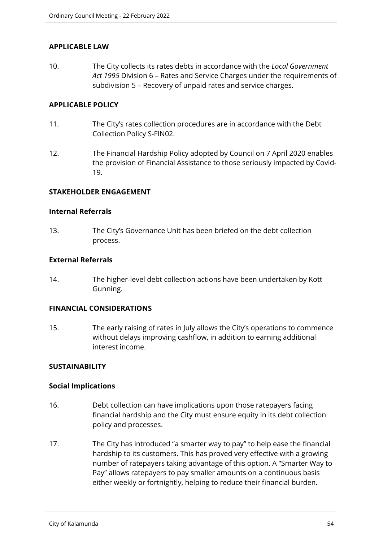# **APPLICABLE LAW**

10. The City collects its rates debts in accordance with the *Local Government Act 1995* Division 6 – Rates and Service Charges under the requirements of subdivision 5 – Recovery of unpaid rates and service charges.

## **APPLICABLE POLICY**

- 11. The City's rates collection procedures are in accordance with the Debt Collection Policy S-FIN02.
- 12. The Financial Hardship Policy adopted by Council on 7 April 2020 enables the provision of Financial Assistance to those seriously impacted by Covid-19.

#### **STAKEHOLDER ENGAGEMENT**

#### **Internal Referrals**

13. The City's Governance Unit has been briefed on the debt collection process.

#### **External Referrals**

14. The higher-level debt collection actions have been undertaken by Kott Gunning.

#### **FINANCIAL CONSIDERATIONS**

15. The early raising of rates in July allows the City's operations to commence without delays improving cashflow, in addition to earning additional interest income.

#### **SUSTAINABILITY**

#### **Social Implications**

- 16. Debt collection can have implications upon those ratepayers facing financial hardship and the City must ensure equity in its debt collection policy and processes.
- 17. The City has introduced "a smarter way to pay" to help ease the financial hardship to its customers. This has proved very effective with a growing number of ratepayers taking advantage of this option. A "Smarter Way to Pay" allows ratepayers to pay smaller amounts on a continuous basis either weekly or fortnightly, helping to reduce their financial burden.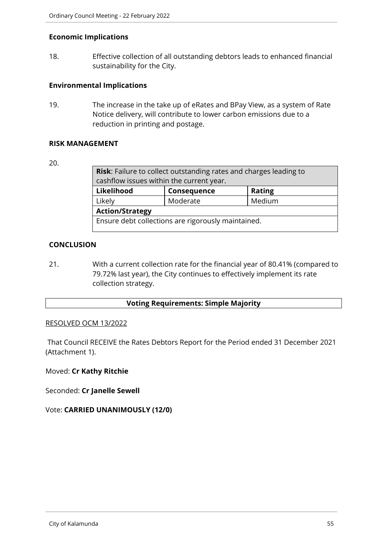## **Economic Implications**

18. Effective collection of all outstanding debtors leads to enhanced financial sustainability for the City.

## **Environmental Implications**

19. The increase in the take up of eRates and BPay View, as a system of Rate Notice delivery, will contribute to lower carbon emissions due to a reduction in printing and postage.

#### **RISK MANAGEMENT**

#### 20.

| <b>Risk:</b> Failure to collect outstanding rates and charges leading to |          |        |
|--------------------------------------------------------------------------|----------|--------|
| cashflow issues within the current year.                                 |          |        |
| Likelihood<br><b>Rating</b><br>Consequence                               |          |        |
| Likely                                                                   | Moderate | Medium |
| <b>Action/Strategy</b>                                                   |          |        |
| Ensure debt collections are rigorously maintained.                       |          |        |

# **CONCLUSION**

21. With a current collection rate for the financial year of 80.41% (compared to 79.72% last year), the City continues to effectively implement its rate collection strategy.

# **Voting Requirements: Simple Majority**

#### RESOLVED OCM 13/2022

That Council RECEIVE the Rates Debtors Report for the Period ended 31 December 2021 (Attachment 1).

# Moved: **Cr Kathy Ritchie**

Seconded: **Cr Janelle Sewell**

# Vote: **CARRIED UNANIMOUSLY (12/0)**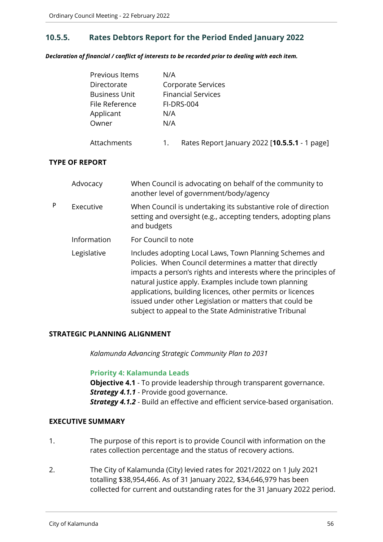# **10.5.5. Rates Debtors Report for the Period Ended January 2022**

*Declaration of financial / conflict of interests to be recorded prior to dealing with each item.*

| Previous Items       | N/A                                                 |
|----------------------|-----------------------------------------------------|
| Directorate          | Corporate Services                                  |
| <b>Business Unit</b> | <b>Financial Services</b>                           |
| File Reference       | FI-DRS-004                                          |
| Applicant            | N/A                                                 |
| Owner                | N/A                                                 |
| Attachments          | Rates Report January 2022 [10.5.5.1 - 1 page]<br>1. |

## **TYPE OF REPORT**

|   | Advocacy    | When Council is advocating on behalf of the community to<br>another level of government/body/agency                                                                                                                                                                                                                                                                                                                                |
|---|-------------|------------------------------------------------------------------------------------------------------------------------------------------------------------------------------------------------------------------------------------------------------------------------------------------------------------------------------------------------------------------------------------------------------------------------------------|
| P | Executive   | When Council is undertaking its substantive role of direction<br>setting and oversight (e.g., accepting tenders, adopting plans<br>and budgets                                                                                                                                                                                                                                                                                     |
|   | Information | For Council to note                                                                                                                                                                                                                                                                                                                                                                                                                |
|   | Legislative | Includes adopting Local Laws, Town Planning Schemes and<br>Policies. When Council determines a matter that directly<br>impacts a person's rights and interests where the principles of<br>natural justice apply. Examples include town planning<br>applications, building licences, other permits or licences<br>issued under other Legislation or matters that could be<br>subject to appeal to the State Administrative Tribunal |

#### **STRATEGIC PLANNING ALIGNMENT**

*Kalamunda Advancing Strategic Community Plan to 2031*

#### **Priority 4: Kalamunda Leads**

**Objective 4.1** - To provide leadership through transparent governance.

*Strategy 4.1.1* - Provide good governance.

*Strategy 4.1.2* - Build an effective and efficient service-based organisation.

#### **EXECUTIVE SUMMARY**

- 1. The purpose of this report is to provide Council with information on the rates collection percentage and the status of recovery actions.
- 2. The City of Kalamunda (City) levied rates for 2021/2022 on 1 July 2021 totalling \$38,954,466. As of 31 January 2022, \$34,646,979 has been collected for current and outstanding rates for the 31 January 2022 period.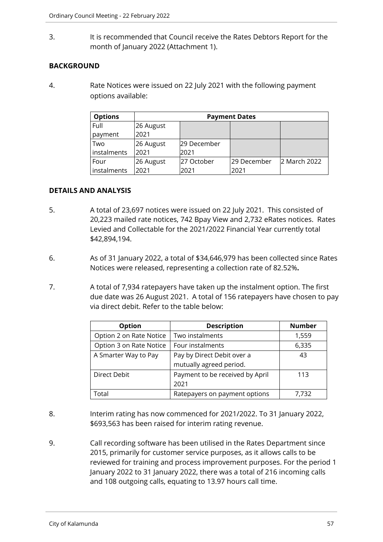3. It is recommended that Council receive the Rates Debtors Report for the month of January 2022 (Attachment 1).

# **BACKGROUND**

4. Rate Notices were issued on 22 July 2021 with the following payment options available:

| <b>Options</b> | <b>Payment Dates</b> |             |             |              |
|----------------|----------------------|-------------|-------------|--------------|
| Full           | 26 August            |             |             |              |
| payment        | 2021                 |             |             |              |
| Two            | 26 August            | 29 December |             |              |
| instalments    | 2021                 | 2021        |             |              |
| Four           | 26 August            | 27 October  | 29 December | 2 March 2022 |
| instalments    | 2021                 | 2021        | 2021        |              |

# **DETAILS AND ANALYSIS**

- 5. A total of 23,697 notices were issued on 22 July 2021. This consisted of 20,223 mailed rate notices, 742 Bpay View and 2,732 eRates notices. Rates Levied and Collectable for the 2021/2022 Financial Year currently total \$42,894,194.
- 6. As of 31 January 2022, a total of \$34,646,979 has been collected since Rates Notices were released, representing a collection rate of 82.52%**.**
- 7. A total of 7,934 ratepayers have taken up the instalment option. The first due date was 26 August 2021. A total of 156 ratepayers have chosen to pay via direct debit. Refer to the table below:

| Option                  | <b>Description</b>              | <b>Number</b> |
|-------------------------|---------------------------------|---------------|
| Option 2 on Rate Notice | Two instalments                 | 1,559         |
| Option 3 on Rate Notice | Four instalments                | 6,335         |
| A Smarter Way to Pay    | Pay by Direct Debit over a      | 43            |
|                         | mutually agreed period.         |               |
| Direct Debit            | Payment to be received by April | 113           |
|                         | 2021                            |               |
| Total                   | Ratepayers on payment options   | 7,732         |

- 8. Interim rating has now commenced for 2021/2022. To 31 January 2022, \$693,563 has been raised for interim rating revenue.
- 9. Call recording software has been utilised in the Rates Department since 2015, primarily for customer service purposes, as it allows calls to be reviewed for training and process improvement purposes. For the period 1 January 2022 to 31 January 2022, there was a total of 216 incoming calls and 108 outgoing calls, equating to 13.97 hours call time.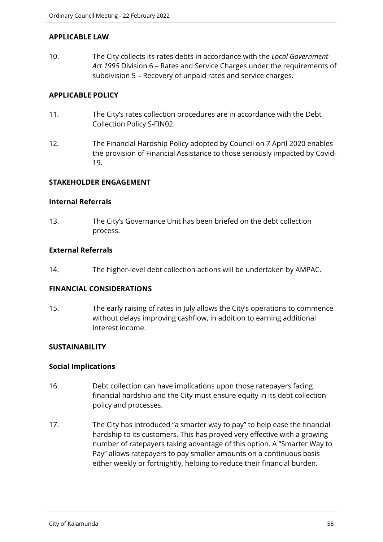## **APPLICABLE LAW**

10. The City collects its rates debts in accordance with the *Local Government Act 1995* Division 6 – Rates and Service Charges under the requirements of subdivision 5 – Recovery of unpaid rates and service charges.

## **APPLICABLE POLICY**

- 11. The City's rates collection procedures are in accordance with the Debt Collection Policy S-FIN02.
- 12. The Financial Hardship Policy adopted by Council on 7 April 2020 enables the provision of Financial Assistance to those seriously impacted by Covid-19.

# **STAKEHOLDER ENGAGEMENT**

#### **Internal Referrals**

13. The City's Governance Unit has been briefed on the debt collection process.

## **External Referrals**

14. The higher-level debt collection actions will be undertaken by AMPAC.

# **FINANCIAL CONSIDERATIONS**

15. The early raising of rates in July allows the City's operations to commence without delays improving cashflow, in addition to earning additional interest income.

#### **SUSTAINABILITY**

#### **Social Implications**

- 16. Debt collection can have implications upon those ratepayers facing financial hardship and the City must ensure equity in its debt collection policy and processes.
- 17. The City has introduced "a smarter way to pay" to help ease the financial hardship to its customers. This has proved very effective with a growing number of ratepayers taking advantage of this option. A "Smarter Way to Pay" allows ratepayers to pay smaller amounts on a continuous basis either weekly or fortnightly, helping to reduce their financial burden.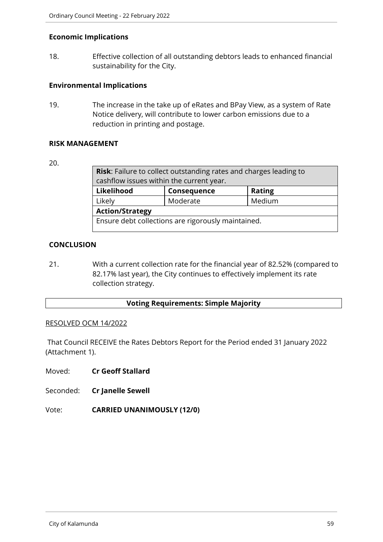## **Economic Implications**

18. Effective collection of all outstanding debtors leads to enhanced financial sustainability for the City.

## **Environmental Implications**

19. The increase in the take up of eRates and BPay View, as a system of Rate Notice delivery, will contribute to lower carbon emissions due to a reduction in printing and postage.

#### **RISK MANAGEMENT**

#### 20.

| <b>Risk:</b> Failure to collect outstanding rates and charges leading to |          |        |
|--------------------------------------------------------------------------|----------|--------|
| cashflow issues within the current year.                                 |          |        |
| Likelihood<br><b>Rating</b><br>Consequence                               |          |        |
| Likely                                                                   | Moderate | Medium |
| <b>Action/Strategy</b>                                                   |          |        |
| Ensure debt collections are rigorously maintained.                       |          |        |

# **CONCLUSION**

21. With a current collection rate for the financial year of 82.52% (compared to 82.17% last year), the City continues to effectively implement its rate collection strategy.

# **Voting Requirements: Simple Majority**

#### RESOLVED OCM 14/2022

That Council RECEIVE the Rates Debtors Report for the Period ended 31 January 2022 (Attachment 1).

Moved: **Cr Geoff Stallard**

Seconded: **Cr Janelle Sewell**

Vote: **CARRIED UNANIMOUSLY (12/0)**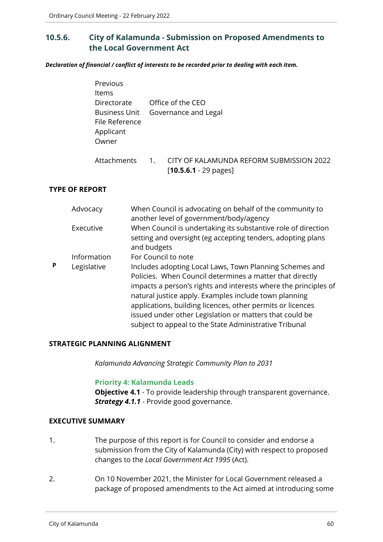# **10.5.6. City of Kalamunda - Submission on Proposed Amendments to the Local Government Act**

*Declaration of financial / conflict of interests to be recorded prior to dealing with each item.*

| Previous             |                  |                                          |
|----------------------|------------------|------------------------------------------|
| Items                |                  |                                          |
| Directorate          |                  | Office of the CEO                        |
| <b>Business Unit</b> |                  | Governance and Legal                     |
| File Reference       |                  |                                          |
| Applicant            |                  |                                          |
| Owner                |                  |                                          |
| Attachments          | $\overline{1}$ . | CITY OF KALAMUNDA REFORM SUBMISSION 2022 |
|                      |                  | $[10.5.6.1 - 29 \text{ pages}]$          |

## **TYPE OF REPORT**

|   | Advocacy    | When Council is advocating on behalf of the community to<br>another level of government/body/agency                                                                                                                                                                                                                                                                                                                                |
|---|-------------|------------------------------------------------------------------------------------------------------------------------------------------------------------------------------------------------------------------------------------------------------------------------------------------------------------------------------------------------------------------------------------------------------------------------------------|
|   | Executive   | When Council is undertaking its substantive role of direction<br>setting and oversight (eg accepting tenders, adopting plans<br>and budgets                                                                                                                                                                                                                                                                                        |
|   | Information | For Council to note                                                                                                                                                                                                                                                                                                                                                                                                                |
| Þ | Legislative | Includes adopting Local Laws, Town Planning Schemes and<br>Policies. When Council determines a matter that directly<br>impacts a person's rights and interests where the principles of<br>natural justice apply. Examples include town planning<br>applications, building licences, other permits or licences<br>issued under other Legislation or matters that could be<br>subject to appeal to the State Administrative Tribunal |

#### **STRATEGIC PLANNING ALIGNMENT**

*Kalamunda Advancing Strategic Community Plan to 2031*

#### **Priority 4: Kalamunda Leads**

**Objective 4.1** - To provide leadership through transparent governance. **Strategy 4.1.1** - Provide good governance.

#### **EXECUTIVE SUMMARY**

- 1. The purpose of this report is for Council to consider and endorse a submission from the City of Kalamunda (City) with respect to proposed changes to the *Local Government Act 1995* (Act).
- 2. On 10 November 2021, the Minister for Local Government released a package of proposed amendments to the Act aimed at introducing some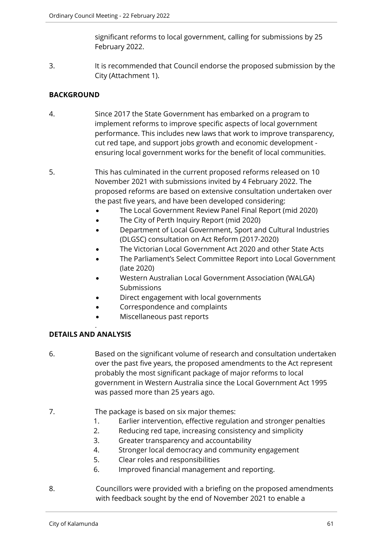significant reforms to local government, calling for submissions by 25 February 2022.

3. It is recommended that Council endorse the proposed submission by the City (Attachment 1).

# **BACKGROUND**

- 4. Since 2017 the State Government has embarked on a program to implement reforms to improve specific aspects of local government performance. This includes new laws that work to improve transparency, cut red tape, and support jobs growth and economic development ensuring local government works for the benefit of local communities.
- 5. This has culminated in the current proposed reforms released on 10 November 2021 with submissions invited by 4 February 2022. The proposed reforms are based on extensive consultation undertaken over the past five years, and have been developed considering:
	- The Local Government Review Panel Final Report (mid 2020)
	- The City of Perth Inquiry Report (mid 2020)
	- Department of Local Government, Sport and Cultural Industries (DLGSC) consultation on Act Reform (2017-2020)
	- The Victorian Local Government Act 2020 and other State Acts
	- The Parliament's Select Committee Report into Local Government (late 2020)
	- Western Australian Local Government Association (WALGA) Submissions
	- Direct engagement with local governments
	- Correspondence and complaints
	- Miscellaneous past reports

# **DETAILS AND ANALYSIS**

.

- 6. Based on the significant volume of research and consultation undertaken over the past five years, the proposed amendments to the Act represent probably the most significant package of major reforms to local government in Western Australia since the Local Government Act 1995 was passed more than 25 years ago.
- 7. The package is based on six major themes:
	- 1. Earlier intervention, effective regulation and stronger penalties
	- 2. Reducing red tape, increasing consistency and simplicity
	- 3. Greater transparency and accountability
	- 4. Stronger local democracy and community engagement
	- 5. Clear roles and responsibilities
	- 6. Improved financial management and reporting.
- 8. Councillors were provided with a briefing on the proposed amendments with feedback sought by the end of November 2021 to enable a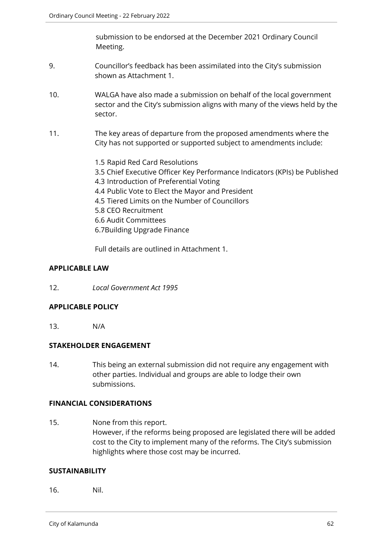submission to be endorsed at the December 2021 Ordinary Council Meeting.

- 9. Councillor's feedback has been assimilated into the City's submission shown as Attachment 1.
- 10. WALGA have also made a submission on behalf of the local government sector and the City's submission aligns with many of the views held by the sector.
- 11. The key areas of departure from the proposed amendments where the City has not supported or supported subject to amendments include:
	- 1.5 Rapid Red Card Resolutions 3.5 Chief Executive Officer Key Performance Indicators (KPIs) be Published 4.3 Introduction of Preferential Voting 4.4 Public Vote to Elect the Mayor and President 4.5 Tiered Limits on the Number of Councillors 5.8 CEO Recruitment 6.6 Audit Committees 6.7Building Upgrade Finance

Full details are outlined in Attachment 1.

# **APPLICABLE LAW**

12. *Local Government Act 1995*

# **APPLICABLE POLICY**

13. N/A

# **STAKEHOLDER ENGAGEMENT**

14. This being an external submission did not require any engagement with other parties. Individual and groups are able to lodge their own submissions.

#### **FINANCIAL CONSIDERATIONS**

15. None from this report. However, if the reforms being proposed are legislated there will be added cost to the City to implement many of the reforms. The City's submission highlights where those cost may be incurred.

#### **SUSTAINABILITY**

16. Nil.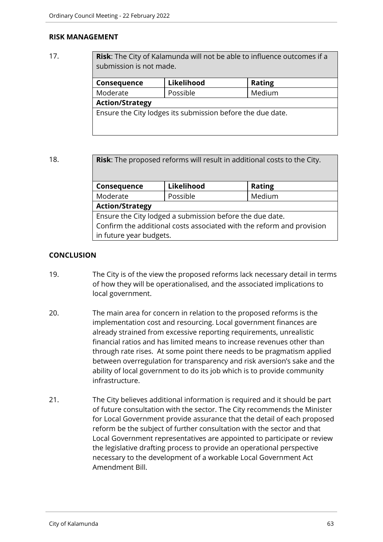## **RISK MANAGEMENT**

17. **Risk**: The City of Kalamunda will not be able to influence outcomes if a submission is not made.

| Consequence                                                | Likelihood | <b>Rating</b> |  |
|------------------------------------------------------------|------------|---------------|--|
| Moderate                                                   | Possible   | Medium        |  |
| <b>Action/Strategy</b>                                     |            |               |  |
| Ensure the City lodges its submission before the due date. |            |               |  |
|                                                            |            |               |  |
|                                                            |            |               |  |

18. **Risk**: The proposed reforms will result in additional costs to the City.

| Consequence                                                           | Likelihood | <b>Rating</b> |  |  |
|-----------------------------------------------------------------------|------------|---------------|--|--|
| Moderate                                                              | Possible   | Medium        |  |  |
| <b>Action/Strategy</b>                                                |            |               |  |  |
| Ensure the City lodged a submission before the due date.              |            |               |  |  |
| Confirm the additional costs associated with the reform and provision |            |               |  |  |
| in future year budgets.                                               |            |               |  |  |

# **CONCLUSION**

- 19. The City is of the view the proposed reforms lack necessary detail in terms of how they will be operationalised, and the associated implications to local government.
- 20. The main area for concern in relation to the proposed reforms is the implementation cost and resourcing. Local government finances are already strained from excessive reporting requirements, unrealistic financial ratios and has limited means to increase revenues other than through rate rises. At some point there needs to be pragmatism applied between overregulation for transparency and risk aversion's sake and the ability of local government to do its job which is to provide community infrastructure.
- 21. The City believes additional information is required and it should be part of future consultation with the sector. The City recommends the Minister for Local Government provide assurance that the detail of each proposed reform be the subject of further consultation with the sector and that Local Government representatives are appointed to participate or review the legislative drafting process to provide an operational perspective necessary to the development of a workable Local Government Act Amendment Bill.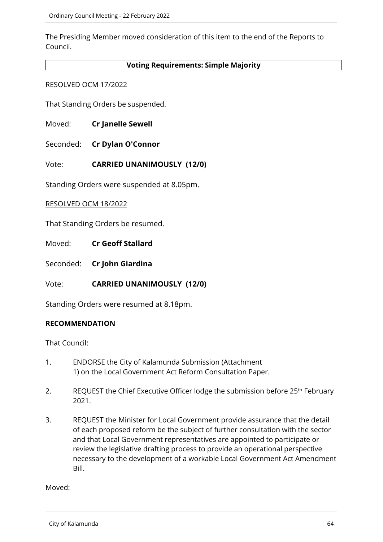The Presiding Member moved consideration of this item to the end of the Reports to Council.

## **Voting Requirements: Simple Majority**

#### RESOLVED OCM 17/2022

That Standing Orders be suspended.

- Moved: **Cr Janelle Sewell**
- Seconded: **Cr Dylan O'Connor**

# Vote: **CARRIED UNANIMOUSLY (12/0)**

Standing Orders were suspended at 8.05pm.

#### RESOLVED OCM 18/2022

That Standing Orders be resumed.

Moved: **Cr Geoff Stallard**

Seconded: **Cr John Giardina**

Vote: **CARRIED UNANIMOUSLY (12/0)**

Standing Orders were resumed at 8.18pm.

#### **RECOMMENDATION**

That Council:

- 1. ENDORSE the City of Kalamunda Submission (Attachment 1) on the Local Government Act Reform Consultation Paper.
- 2. REQUEST the Chief Executive Officer lodge the submission before 25<sup>th</sup> February 2021.
- 3. REQUEST the Minister for Local Government provide assurance that the detail of each proposed reform be the subject of further consultation with the sector and that Local Government representatives are appointed to participate or review the legislative drafting process to provide an operational perspective necessary to the development of a workable Local Government Act Amendment Bill.

Moved: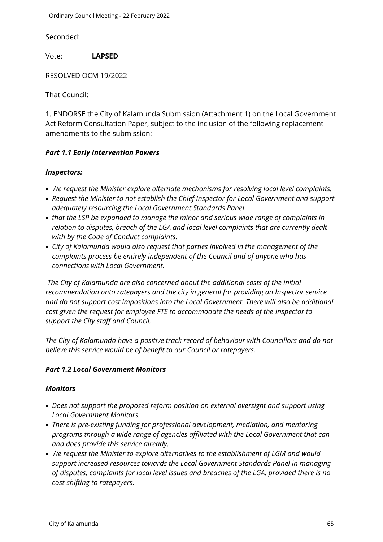Seconded:

Vote: **LAPSED** 

#### RESOLVED OCM 19/2022

That Council:

1. ENDORSE the City of Kalamunda Submission (Attachment 1) on the Local Government Act Reform Consultation Paper, subject to the inclusion of the following replacement amendments to the submission:-

## *Part 1.1 Early Intervention Powers*

#### *Inspectors:*

- *We request the Minister explore alternate mechanisms for resolving local level complaints.*
- *Request the Minister to not establish the Chief Inspector for Local Government and support adequately resourcing the Local Government Standards Panel*
- *that the LSP be expanded to manage the minor and serious wide range of complaints in relation to disputes, breach of the LGA and local level complaints that are currently dealt with by the Code of Conduct complaints.*
- *City of Kalamunda would also request that parties involved in the management of the complaints process be entirely independent of the Council and of anyone who has connections with Local Government.*

 *The City of Kalamunda are also concerned about the additional costs of the initial recommendation onto ratepayers and the city in general for providing an Inspector service and do not support cost impositions into the Local Government. There will also be additional cost given the request for employee FTE to accommodate the needs of the Inspector to support the City staff and Council.* 

*The City of Kalamunda have a positive track record of behaviour with Councillors and do not believe this service would be of benefit to our Council or ratepayers.*

# *Part 1.2 Local Government Monitors*

#### *Monitors*

- *Does not support the proposed reform position on external oversight and support using Local Government Monitors.*
- *There is pre-existing funding for professional development, mediation, and mentoring programs through a wide range of agencies affiliated with the Local Government that can and does provide this service already.*
- *We request the Minister to explore alternatives to the establishment of LGM and would support increased resources towards the Local Government Standards Panel in managing of disputes, complaints for local level issues and breaches of the LGA, provided there is no cost-shifting to ratepayers.*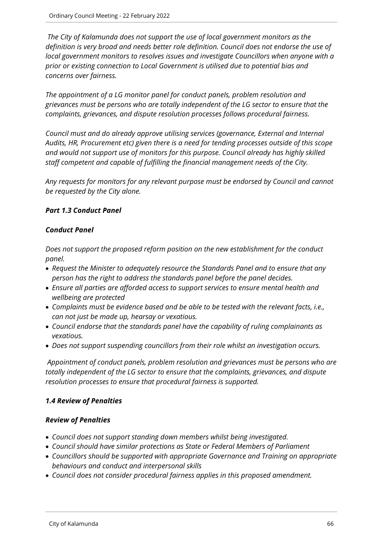*The City of Kalamunda does not support the use of local government monitors as the definition is very broad and needs better role definition. Council does not endorse the use of local government monitors to resolves issues and investigate Councillors when anyone with a prior or existing connection to Local Government is utilised due to potential bias and concerns over fairness.* 

*The appointment of a LG monitor panel for conduct panels, problem resolution and grievances must be persons who are totally independent of the LG sector to ensure that the complaints, grievances, and dispute resolution processes follows procedural fairness.*

*Council must and do already approve utilising services (governance, External and Internal Audits, HR, Procurement etc) given there is a need for tending processes outside of this scope and would not support use of monitors for this purpose. Council already has highly skilled staff competent and capable of fulfilling the financial management needs of the City.*

*Any requests for monitors for any relevant purpose must be endorsed by Council and cannot be requested by the City alone.* 

# *Part 1.3 Conduct Panel*

# *Conduct Panel*

*Does not support the proposed reform position on the new establishment for the conduct panel.* 

- *Request the Minister to adequately resource the Standards Panel and to ensure that any person has the right to address the standards panel before the panel decides.*
- *Ensure all parties are afforded access to support services to ensure mental health and wellbeing are protected*
- *Complaints must be evidence based and be able to be tested with the relevant facts, i.e., can not just be made up, hearsay or vexatious.*
- *Council endorse that the standards panel have the capability of ruling complainants as vexatious.*
- *Does not support suspending councillors from their role whilst an investigation occurs.*

*Appointment of conduct panels, problem resolution and grievances must be persons who are totally independent of the LG sector to ensure that the complaints, grievances, and dispute resolution processes to ensure that procedural fairness is supported.*

# *1.4 Review of Penalties*

# *Review of Penalties*

- *Council does not support standing down members whilst being investigated.*
- *Council should have similar protections as State or Federal Members of Parliament*
- *Councillors should be supported with appropriate Governance and Training on appropriate behaviours and conduct and interpersonal skills*
- *Council does not consider procedural fairness applies in this proposed amendment.*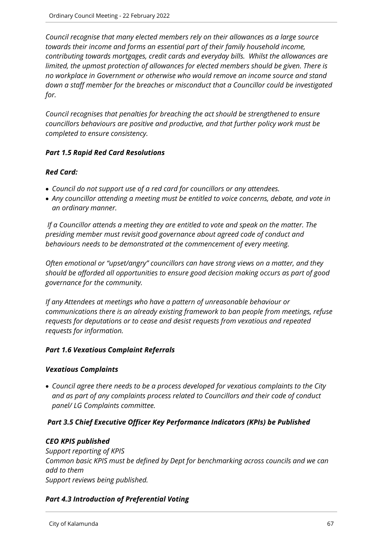*Council recognise that many elected members rely on their allowances as a large source towards their income and forms an essential part of their family household income, contributing towards mortgages, credit cards and everyday bills. Whilst the allowances are limited, the upmost protection of allowances for elected members should be given. There is no workplace in Government or otherwise who would remove an income source and stand down a staff member for the breaches or misconduct that a Councillor could be investigated for.*

*Council recognises that penalties for breaching the act should be strengthened to ensure councillors behaviours are positive and productive, and that further policy work must be completed to ensure consistency.*

# *Part 1.5 Rapid Red Card Resolutions*

# *Red Card:*

- *Council do not support use of a red card for councillors or any attendees.*
- *Any councillor attending a meeting must be entitled to voice concerns, debate, and vote in an ordinary manner.*

 *If a Councillor attends a meeting they are entitled to vote and speak on the matter. The presiding member must revisit good governance about agreed code of conduct and behaviours needs to be demonstrated at the commencement of every meeting.* 

*Often emotional or "upset/angry" councillors can have strong views on a matter, and they should be afforded all opportunities to ensure good decision making occurs as part of good governance for the community.*

*If any Attendees at meetings who have a pattern of unreasonable behaviour or communications there is an already existing framework to ban people from meetings, refuse requests for deputations or to cease and desist requests from vexatious and repeated requests for information.* 

# *Part 1.6 Vexatious Complaint Referrals*

# *Vexatious Complaints*

 *Council agree there needs to be a process developed for vexatious complaints to the City and as part of any complaints process related to Councillors and their code of conduct panel/ LG Complaints committee.* 

# *Part 3.5 Chief Executive Officer Key Performance Indicators (KPIs) be Published*

# *CEO KPIS published*

*Support reporting of KPIS Common basic KPIS must be defined by Dept for benchmarking across councils and we can add to them Support reviews being published.*

# *Part 4.3 Introduction of Preferential Voting*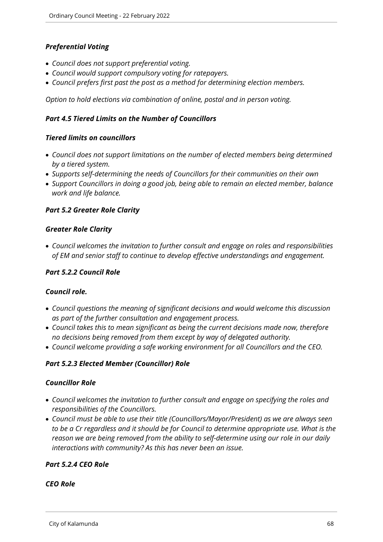# *Preferential Voting*

- *Council does not support preferential voting.*
- *Council would support compulsory voting for ratepayers.*
- *Council prefers first past the post as a method for determining election members.*

*Option to hold elections via combination of online, postal and in person voting.*

## *Part 4.5 Tiered Limits on the Number of Councillors*

## *Tiered limits on councillors*

- *Council does not support limitations on the number of elected members being determined by a tiered system.*
- *Supports self-determining the needs of Councillors for their communities on their own*
- *Support Councillors in doing a good job, being able to remain an elected member, balance work and life balance.*

## *Part 5.2 Greater Role Clarity*

#### *Greater Role Clarity*

 *Council welcomes the invitation to further consult and engage on roles and responsibilities of EM and senior staff to continue to develop effective understandings and engagement.*

## *Part 5.2.2 Council Role*

#### *Council role.*

- *Council questions the meaning of significant decisions and would welcome this discussion as part of the further consultation and engagement process.*
- *Council takes this to mean significant as being the current decisions made now, therefore no decisions being removed from them except by way of delegated authority.*
- *Council welcome providing a safe working environment for all Councillors and the CEO.*

#### *Part 5.2.3 Elected Member (Councillor) Role*

#### *Councillor Role*

- *Council welcomes the invitation to further consult and engage on specifying the roles and responsibilities of the Councillors.*
- *Council must be able to use their title (Councillors/Mayor/President) as we are always seen to be a Cr regardless and it should be for Council to determine appropriate use. What is the reason we are being removed from the ability to self-determine using our role in our daily interactions with community? As this has never been an issue.*

# *Part 5.2.4 CEO Role*

#### *CEO Role*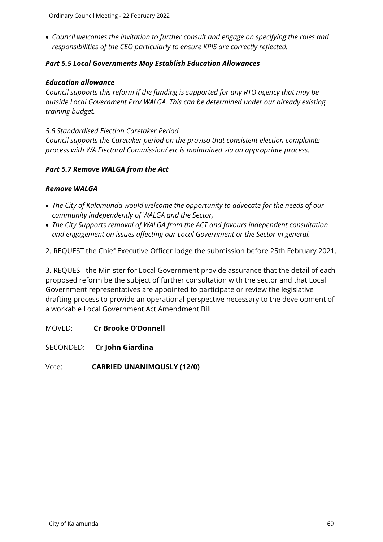*Council welcomes the invitation to further consult and engage on specifying the roles and responsibilities of the CEO particularly to ensure KPIS are correctly reflected.*

# *Part 5.5 Local Governments May Establish Education Allowances*

## *Education allowance*

*Council supports this reform if the funding is supported for any RTO agency that may be outside Local Government Pro/ WALGA. This can be determined under our already existing training budget.* 

## *5.6 Standardised Election Caretaker Period*

*Council supports the Caretaker period on the proviso that consistent election complaints process with WA Electoral Commission/ etc is maintained via an appropriate process.* 

# *Part 5.7 Remove WALGA from the Act*

# *Remove WALGA*

- *The City of Kalamunda would welcome the opportunity to advocate for the needs of our community independently of WALGA and the Sector,*
- *The City Supports removal of WALGA from the ACT and favours independent consultation and engagement on issues affecting our Local Government or the Sector in general.*
- 2. REQUEST the Chief Executive Officer lodge the submission before 25th February 2021.

3. REQUEST the Minister for Local Government provide assurance that the detail of each proposed reform be the subject of further consultation with the sector and that Local Government representatives are appointed to participate or review the legislative drafting process to provide an operational perspective necessary to the development of a workable Local Government Act Amendment Bill.

MOVED: **Cr Brooke O'Donnell**

SECONDED: **Cr John Giardina**

Vote: **CARRIED UNANIMOUSLY (12/0)**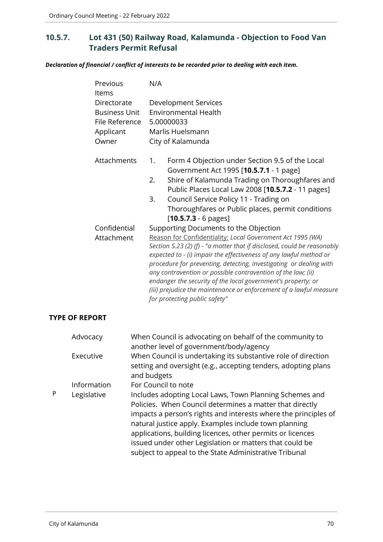# **10.5.7. Lot 431 (50) Railway Road, Kalamunda - Objection to Food Van Traders Permit Refusal**

*Declaration of financial / conflict of interests to be recorded prior to dealing with each item.*

| Previous<br>ltems<br>Directorate<br><b>Business Unit</b><br>File Reference<br>Applicant<br>Owner | N/A<br>Development Services<br><b>Environmental Health</b><br>5.00000033<br>Marlis Huelsmann<br>City of Kalamunda                                                                                                                                                                                                                                                                                                                                                                                                                                                 |  |
|--------------------------------------------------------------------------------------------------|-------------------------------------------------------------------------------------------------------------------------------------------------------------------------------------------------------------------------------------------------------------------------------------------------------------------------------------------------------------------------------------------------------------------------------------------------------------------------------------------------------------------------------------------------------------------|--|
| Attachments                                                                                      | Form 4 Objection under Section 9.5 of the Local<br>1.<br>Government Act 1995 [10.5.7.1 - 1 page]<br>Shire of Kalamunda Trading on Thoroughfares and<br>2.<br>Public Places Local Law 2008 [10.5.7.2 - 11 pages]<br>Council Service Policy 11 - Trading on<br>3.<br>Thoroughfares or Public places, permit conditions<br>$[10.5.7.3 - 6 \text{ pages}]$                                                                                                                                                                                                            |  |
| Confidential<br>Attachment                                                                       | Supporting Documents to the Objection<br>Reason for Confidentiality: Local Government Act 1995 (WA)<br>Section 5.23 (2) (f) - "a matter that if disclosed, could be reasonably<br>expected to - (i) impair the effectiveness of any lawful method or<br>procedure for preventing, detecting, investigating or dealing with<br>any contravention or possible contravention of the law; (ii)<br>endanger the security of the local government's property; or<br>(iii) prejudice the maintenance or enforcement of a lawful measure<br>for protecting public safety" |  |

## **TYPE OF REPORT**

|   | Advocacy    | When Council is advocating on behalf of the community to<br>another level of government/body/agency                                                                                                                                                                                                                                                                                                                                |
|---|-------------|------------------------------------------------------------------------------------------------------------------------------------------------------------------------------------------------------------------------------------------------------------------------------------------------------------------------------------------------------------------------------------------------------------------------------------|
|   | Executive   | When Council is undertaking its substantive role of direction<br>setting and oversight (e.g., accepting tenders, adopting plans<br>and budgets                                                                                                                                                                                                                                                                                     |
|   | Information | For Council to note                                                                                                                                                                                                                                                                                                                                                                                                                |
| P | Legislative | Includes adopting Local Laws, Town Planning Schemes and<br>Policies. When Council determines a matter that directly<br>impacts a person's rights and interests where the principles of<br>natural justice apply. Examples include town planning<br>applications, building licences, other permits or licences<br>issued under other Legislation or matters that could be<br>subject to appeal to the State Administrative Tribunal |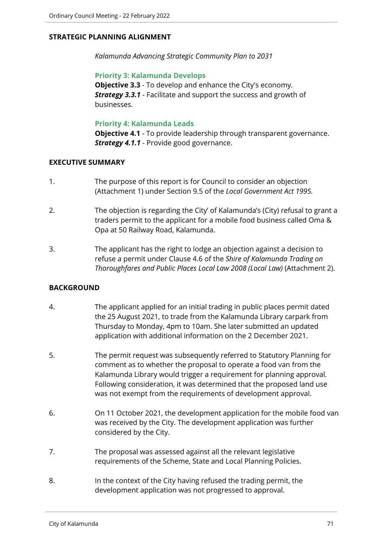# **STRATEGIC PLANNING ALIGNMENT**

*Kalamunda Advancing Strategic Community Plan to 2031*

## **Priority 3: Kalamunda Develops**

**Objective 3.3** - To develop and enhance the City's economy. *Strategy 3.3.1* - Facilitate and support the success and growth of businesses.

## **Priority 4: Kalamunda Leads**

**Objective 4.1** - To provide leadership through transparent governance. *Strategy 4.1.1* - Provide good governance.

## **EXECUTIVE SUMMARY**

- 1. The purpose of this report is for Council to consider an objection (Attachment 1) under Section 9.5 of the *Local Government Act 1995.*
- 2. The objection is regarding the City' of Kalamunda's (City) refusal to grant a traders permit to the applicant for a mobile food business called Oma & Opa at 50 Railway Road, Kalamunda.
- 3. The applicant has the right to lodge an objection against a decision to refuse a permit under Clause 4.6 of the *Shire of Kalamunda Trading on Thoroughfares and Public Places Local Law 2008 (Local Law)* (Attachment 2).

# **BACKGROUND**

- 4. The applicant applied for an initial trading in public places permit dated the 25 August 2021, to trade from the Kalamunda Library carpark from Thursday to Monday, 4pm to 10am. She later submitted an updated application with additional information on the 2 December 2021.
- 5. The permit request was subsequently referred to Statutory Planning for comment as to whether the proposal to operate a food van from the Kalamunda Library would trigger a requirement for planning approval. Following consideration, it was determined that the proposed land use was not exempt from the requirements of development approval.
- 6. On 11 October 2021, the development application for the mobile food van was received by the City. The development application was further considered by the City.
- 7. The proposal was assessed against all the relevant legislative requirements of the Scheme, State and Local Planning Policies.
- 8. In the context of the City having refused the trading permit, the development application was not progressed to approval.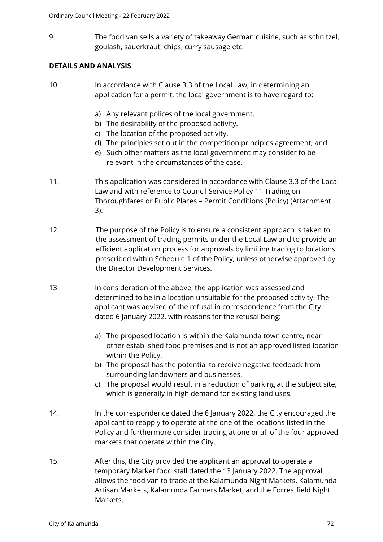9. The food van sells a variety of takeaway German cuisine, such as schnitzel, goulash, sauerkraut, chips, curry sausage etc.

# **DETAILS AND ANALYSIS**

- 10. In accordance with Clause 3.3 of the Local Law, in determining an application for a permit, the local government is to have regard to:
	- a) Any relevant polices of the local government.
	- b) The desirability of the proposed activity.
	- c) The location of the proposed activity.
	- d) The principles set out in the competition principles agreement; and
	- e) Such other matters as the local government may consider to be relevant in the circumstances of the case.
- 11. This application was considered in accordance with Clause 3.3 of the Local Law and with reference to Council Service Policy 11 Trading on Thoroughfares or Public Places – Permit Conditions (Policy) (Attachment 3).
- 12. The purpose of the Policy is to ensure a consistent approach is taken to the assessment of trading permits under the Local Law and to provide an efficient application process for approvals by limiting trading to locations prescribed within Schedule 1 of the Policy, unless otherwise approved by the Director Development Services.
- 13. In consideration of the above, the application was assessed and determined to be in a location unsuitable for the proposed activity. The applicant was advised of the refusal in correspondence from the City dated 6 January 2022, with reasons for the refusal being:
	- a) The proposed location is within the Kalamunda town centre, near other established food premises and is not an approved listed location within the Policy.
	- b) The proposal has the potential to receive negative feedback from surrounding landowners and businesses.
	- c) The proposal would result in a reduction of parking at the subject site, which is generally in high demand for existing land uses.
- 14. In the correspondence dated the 6 January 2022, the City encouraged the applicant to reapply to operate at the one of the locations listed in the Policy and furthermore consider trading at one or all of the four approved markets that operate within the City.
- 15. After this, the City provided the applicant an approval to operate a temporary Market food stall dated the 13 January 2022. The approval allows the food van to trade at the Kalamunda Night Markets, Kalamunda Artisan Markets, Kalamunda Farmers Market, and the Forrestfield Night Markets.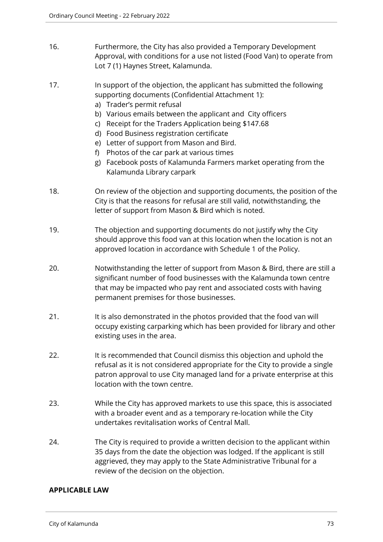- 16. Furthermore, the City has also provided a Temporary Development Approval, with conditions for a use not listed (Food Van) to operate from Lot 7 (1) Haynes Street, Kalamunda.
- 17. In support of the objection, the applicant has submitted the following supporting documents (Confidential Attachment 1):
	- a) Trader's permit refusal
	- b) Various emails between the applicant and City officers
	- c) Receipt for the Traders Application being \$147.68
	- d) Food Business registration certificate
	- e) Letter of support from Mason and Bird.
	- f) Photos of the car park at various times
	- g) Facebook posts of Kalamunda Farmers market operating from the Kalamunda Library carpark
- 18. On review of the objection and supporting documents, the position of the City is that the reasons for refusal are still valid, notwithstanding, the letter of support from Mason & Bird which is noted.
- 19. The objection and supporting documents do not justify why the City should approve this food van at this location when the location is not an approved location in accordance with Schedule 1 of the Policy.
- 20. Notwithstanding the letter of support from Mason & Bird, there are still a significant number of food businesses with the Kalamunda town centre that may be impacted who pay rent and associated costs with having permanent premises for those businesses.
- 21. It is also demonstrated in the photos provided that the food van will occupy existing carparking which has been provided for library and other existing uses in the area.
- 22. It is recommended that Council dismiss this objection and uphold the refusal as it is not considered appropriate for the City to provide a single patron approval to use City managed land for a private enterprise at this location with the town centre.
- 23. While the City has approved markets to use this space, this is associated with a broader event and as a temporary re-location while the City undertakes revitalisation works of Central Mall.
- 24. The City is required to provide a written decision to the applicant within 35 days from the date the objection was lodged. If the applicant is still aggrieved, they may apply to the State Administrative Tribunal for a review of the decision on the objection.

## **APPLICABLE LAW**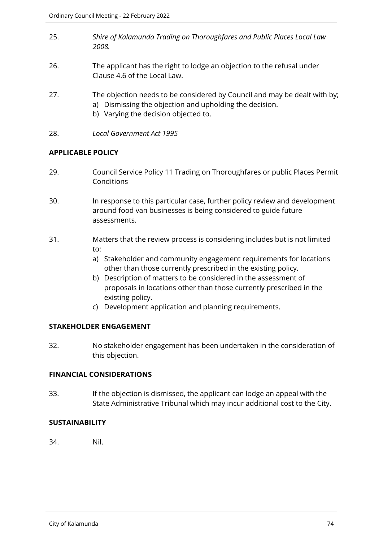- 25. *Shire of Kalamunda Trading on Thoroughfares and Public Places Local Law 2008.*
- 26. The applicant has the right to lodge an objection to the refusal under Clause 4.6 of the Local Law.
- 27. The objection needs to be considered by Council and may be dealt with by;
	- a) Dismissing the objection and upholding the decision.
	- b) Varying the decision objected to.
- 28. *Local Government Act 1995*

### **APPLICABLE POLICY**

- 29. Council Service Policy 11 Trading on Thoroughfares or public Places Permit **Conditions**
- 30. In response to this particular case, further policy review and development around food van businesses is being considered to guide future assessments.
- 31. Matters that the review process is considering includes but is not limited to:
	- a) Stakeholder and community engagement requirements for locations other than those currently prescribed in the existing policy.
	- b) Description of matters to be considered in the assessment of proposals in locations other than those currently prescribed in the existing policy.
	- c) Development application and planning requirements.

## **STAKEHOLDER ENGAGEMENT**

32. No stakeholder engagement has been undertaken in the consideration of this objection.

## **FINANCIAL CONSIDERATIONS**

33. If the objection is dismissed, the applicant can lodge an appeal with the State Administrative Tribunal which may incur additional cost to the City.

## **SUSTAINABILITY**

34. Nil.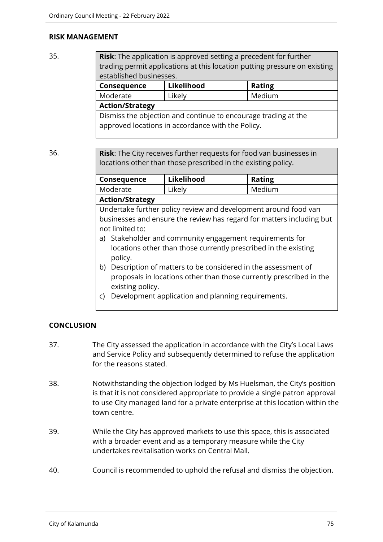### **RISK MANAGEMENT**

35. **Risk**: The application is approved setting a precedent for further trading permit applications at this location putting pressure on existing established businesses. **Consequence Likelihood Rating** Moderate | Likely | Medium

**Action/Strategy**

Dismiss the objection and continue to encourage trading at the approved locations in accordance with the Policy.

36. **Risk**: The City receives further requests for food van businesses in locations other than those prescribed in the existing policy.

| Consequence                                                           | Likelihood                                                      | <b>Rating</b> |  |
|-----------------------------------------------------------------------|-----------------------------------------------------------------|---------------|--|
| Moderate                                                              | Likely                                                          | Medium        |  |
| <b>Action/Strategy</b>                                                |                                                                 |               |  |
|                                                                       | Undertake further policy review and development around food van |               |  |
| businesses and ensure the review has regard for matters including but |                                                                 |               |  |
| not limited to:                                                       |                                                                 |               |  |
| a) Stakeholder and community engagement requirements for              |                                                                 |               |  |
| locations other than those currently prescribed in the existing       |                                                                 |               |  |
| policy.                                                               |                                                                 |               |  |
| Description of matters to be considered in the assessment of<br>b)    |                                                                 |               |  |
| proposals in locations other than those currently prescribed in the   |                                                                 |               |  |
| existing policy.                                                      |                                                                 |               |  |

c) Development application and planning requirements.

## **CONCLUSION**

- 37. The City assessed the application in accordance with the City's Local Laws and Service Policy and subsequently determined to refuse the application for the reasons stated.
- 38. Notwithstanding the objection lodged by Ms Huelsman, the City's position is that it is not considered appropriate to provide a single patron approval to use City managed land for a private enterprise at this location within the town centre.
- 39. While the City has approved markets to use this space, this is associated with a broader event and as a temporary measure while the City undertakes revitalisation works on Central Mall.
- 40. Council is recommended to uphold the refusal and dismiss the objection.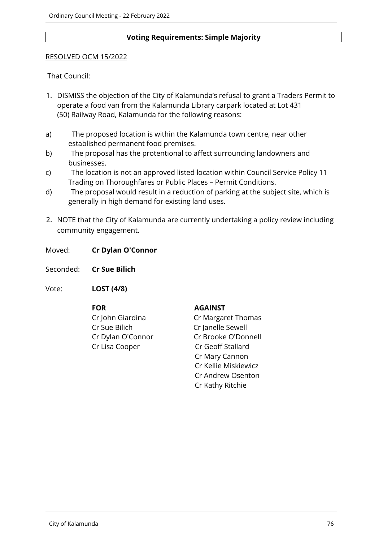### **Voting Requirements: Simple Majority**

### RESOLVED OCM 15/2022

That Council:

- 1. DISMISS the objection of the City of Kalamunda's refusal to grant a Traders Permit to operate a food van from the Kalamunda Library carpark located at Lot 431 (50) Railway Road, Kalamunda for the following reasons:
- a) The proposed location is within the Kalamunda town centre, near other established permanent food premises.
- b) The proposal has the protentional to affect surrounding landowners and businesses.
- c) The location is not an approved listed location within Council Service Policy 11 Trading on Thoroughfares or Public Places – Permit Conditions.
- d) The proposal would result in a reduction of parking at the subject site, which is generally in high demand for existing land uses.
- 2. NOTE that the City of Kalamunda are currently undertaking a policy review including community engagement.

Moved: **Cr Dylan O'Connor**

Seconded: **Cr Sue Bilich**

Vote: **LOST (4/8)**

**FOR AGAINST** Cr Sue Bilich Cr Janelle Sewell Cr Lisa Cooper Cr Geoff Stallard

Cr John Giardina Cr Margaret Thomas Cr Dylan O'Connor Cr Brooke O'Donnell Cr Mary Cannon Cr Kellie Miskiewicz Cr Andrew Osenton Cr Kathy Ritchie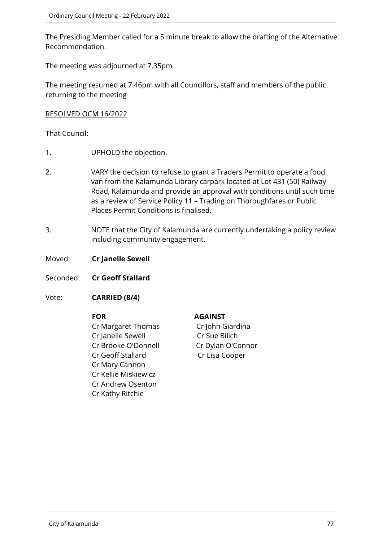The Presiding Member called for a 5 minute break to allow the drafting of the Alternative Recommendation.

The meeting was adjourned at 7.35pm

The meeting resumed at 7.46pm with all Councillors, staff and members of the public returning to the meeting

### RESOLVED OCM 16/2022

That Council:

- 1. UPHOLD the objection.
- 2. VARY the decision to refuse to grant a Traders Permit to operate a food van from the Kalamunda Library carpark located at Lot 431 (50) Railway Road, Kalamunda and provide an approval with conditions until such time as a review of Service Policy 11 – Trading on Thoroughfares or Public Places Permit Conditions is finalised.
- 3. NOTE that the City of Kalamunda are currently undertaking a policy review including community engagement.

Moved: **Cr Janelle Sewell**

Seconded: **Cr Geoff Stallard**

Vote: **CARRIED (8/4)**

Cr Margaret Thomas Cr John Giardina Cr Janelle Sewell Cr Sue Bilich Cr Brooke O'Donnell Cr Dylan O'Connor Cr Geoff Stallard Cr Lisa Cooper Cr Mary Cannon Cr Kellie Miskiewicz Cr Andrew Osenton Cr Kathy Ritchie

## **FOR AGAINST**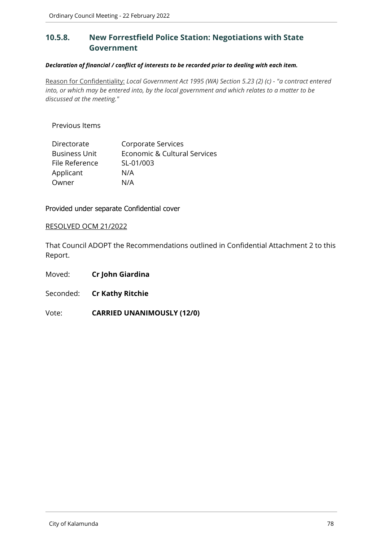# **10.5.8. New Forrestfield Police Station: Negotiations with State Government**

### *Declaration of financial / conflict of interests to be recorded prior to dealing with each item.*

Reason for Confidentiality: *Local Government Act 1995 (WA) Section 5.23 (2) (c) - "a contract entered into, or which may be entered into, by the local government and which relates to a matter to be discussed at the meeting."*

Previous Items

| Directorate          | Corporate Services           |
|----------------------|------------------------------|
| <b>Business Unit</b> | Economic & Cultural Services |
| File Reference       | SL-01/003                    |
| Applicant            | N/A                          |
| Owner                | N/A                          |

Provided under separate Confidential cover

### RESOLVED OCM 21/2022

That Council ADOPT the Recommendations outlined in Confidential Attachment 2 to this Report.

Moved: **Cr John Giardina**

Seconded: **Cr Kathy Ritchie**

Vote: **CARRIED UNANIMOUSLY (12/0)**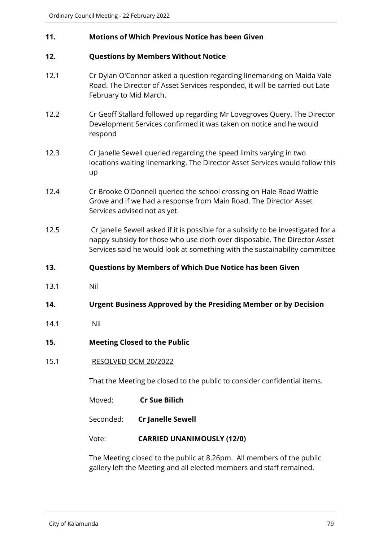## **11. Motions of Which Previous Notice has been Given**

## **12. Questions by Members Without Notice**

- 12.1 Cr Dylan O'Connor asked a question regarding linemarking on Maida Vale Road. The Director of Asset Services responded, it will be carried out Late February to Mid March.
- 12.2 Cr Geoff Stallard followed up regarding Mr Lovegroves Query. The Director Development Services confirmed it was taken on notice and he would respond
- 12.3 Cr Janelle Sewell queried regarding the speed limits varying in two locations waiting linemarking. The Director Asset Services would follow this up
- 12.4 Cr Brooke O'Donnell queried the school crossing on Hale Road Wattle Grove and if we had a response from Main Road. The Director Asset Services advised not as yet.
- 12.5 Cr Janelle Sewell asked if it is possible for a subsidy to be investigated for a nappy subsidy for those who use cloth over disposable. The Director Asset Services said he would look at something with the sustainability committee
- **13. Questions by Members of Which Due Notice has been Given**
- 13.1 Nil
- **14. Urgent Business Approved by the Presiding Member or by Decision**
- 14.1 Nil
- **15. Meeting Closed to the Public**
- 15.1 RESOLVED OCM 20/2022

That the Meeting be closed to the public to consider confidential items.

- Moved: **Cr Sue Bilich**
- Seconded: **Cr Janelle Sewell**

Vote: **CARRIED UNANIMOUSLY (12/0)**

The Meeting closed to the public at 8.26pm. All members of the public gallery left the Meeting and all elected members and staff remained.